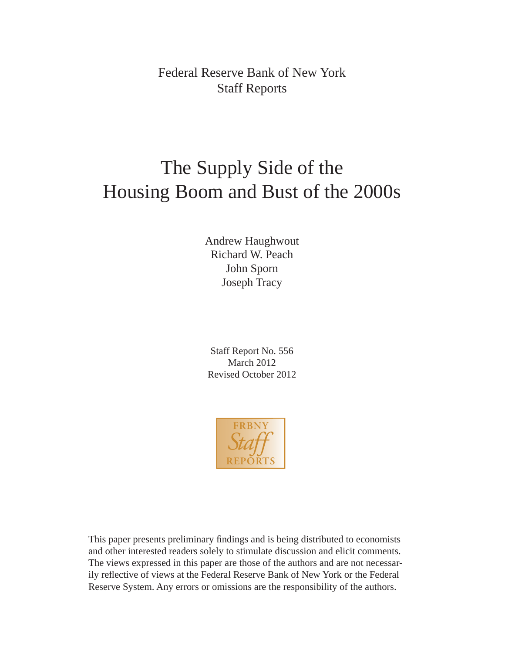Federal Reserve Bank of New York Staff Reports

# The Supply Side of the Housing Boom and Bust of the 2000s

Andrew Haughwout Richard W. Peach John Sporn Joseph Tracy

Staff Report No. 556 March 2012 Revised October 2012



This paper presents preliminary findings and is being distributed to economists and other interested readers solely to stimulate discussion and elicit comments. The views expressed in this paper are those of the authors and are not necessarily reflective of views at the Federal Reserve Bank of New York or the Federal Reserve System. Any errors or omissions are the responsibility of the authors.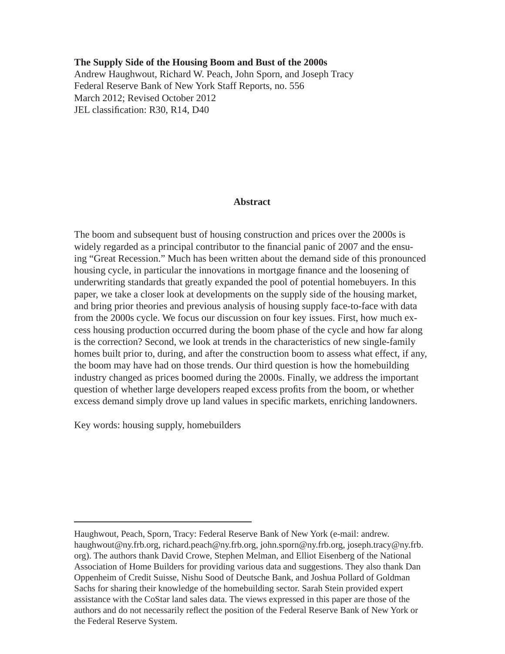## **The Supply Side of the Housing Boom and Bust of the 2000s**

Andrew Haughwout, Richard W. Peach, John Sporn, and Joseph Tracy Federal Reserve Bank of New York Staff Reports, no. 556 March 2012; Revised October 2012 JEL classification: R30, R14, D40

# **Abstract**

The boom and subsequent bust of housing construction and prices over the 2000s is widely regarded as a principal contributor to the financial panic of 2007 and the ensuing "Great Recession." Much has been written about the demand side of this pronounced housing cycle, in particular the innovations in mortgage finance and the loosening of underwriting standards that greatly expanded the pool of potential homebuyers. In this paper, we take a closer look at developments on the supply side of the housing market, and bring prior theories and previous analysis of housing supply face-to-face with data from the 2000s cycle. We focus our discussion on four key issues. First, how much excess housing production occurred during the boom phase of the cycle and how far along is the correction? Second, we look at trends in the characteristics of new single-family homes built prior to, during, and after the construction boom to assess what effect, if any, the boom may have had on those trends. Our third question is how the homebuilding industry changed as prices boomed during the 2000s. Finally, we address the important question of whether large developers reaped excess profits from the boom, or whether excess demand simply drove up land values in specific markets, enriching landowners.

Key words: housing supply, homebuilders

Haughwout, Peach, Sporn, Tracy: Federal Reserve Bank of New York (e-mail: andrew. haughwout@ny.frb.org, richard.peach@ny.frb.org, john.sporn@ny.frb.org, joseph.tracy@ny.frb. org). The authors thank David Crowe, Stephen Melman, and Elliot Eisenberg of the National Association of Home Builders for providing various data and suggestions. They also thank Dan Oppenheim of Credit Suisse, Nishu Sood of Deutsche Bank, and Joshua Pollard of Goldman Sachs for sharing their knowledge of the homebuilding sector. Sarah Stein provided expert assistance with the CoStar land sales data. The views expressed in this paper are those of the authors and do not necessarily reflect the position of the Federal Reserve Bank of New York or the Federal Reserve System.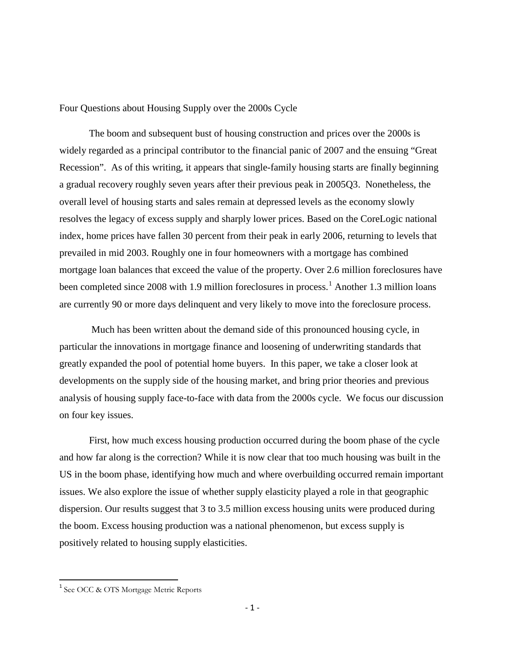Four Questions about Housing Supply over the 2000s Cycle

The boom and subsequent bust of housing construction and prices over the 2000s is widely regarded as a principal contributor to the financial panic of 2007 and the ensuing "Great Recession". As of this writing, it appears that single-family housing starts are finally beginning a gradual recovery roughly seven years after their previous peak in 2005Q3. Nonetheless, the overall level of housing starts and sales remain at depressed levels as the economy slowly resolves the legacy of excess supply and sharply lower prices. Based on the CoreLogic national index, home prices have fallen 30 percent from their peak in early 2006, returning to levels that prevailed in mid 2003. Roughly one in four homeowners with a mortgage has combined mortgage loan balances that exceed the value of the property. Over 2.6 million foreclosures have been completed since 2008 with [1](#page-2-0).9 million foreclosures in process.<sup>1</sup> Another 1.3 million loans are currently 90 or more days delinquent and very likely to move into the foreclosure process.

Much has been written about the demand side of this pronounced housing cycle, in particular the innovations in mortgage finance and loosening of underwriting standards that greatly expanded the pool of potential home buyers. In this paper, we take a closer look at developments on the supply side of the housing market, and bring prior theories and previous analysis of housing supply face-to-face with data from the 2000s cycle. We focus our discussion on four key issues.

First, how much excess housing production occurred during the boom phase of the cycle and how far along is the correction? While it is now clear that too much housing was built in the US in the boom phase, identifying how much and where overbuilding occurred remain important issues. We also explore the issue of whether supply elasticity played a role in that geographic dispersion. Our results suggest that 3 to 3.5 million excess housing units were produced during the boom. Excess housing production was a national phenomenon, but excess supply is positively related to housing supply elasticities.

<span id="page-2-0"></span><sup>&</sup>lt;sup>1</sup> See OCC & OTS Mortgage Metric Reports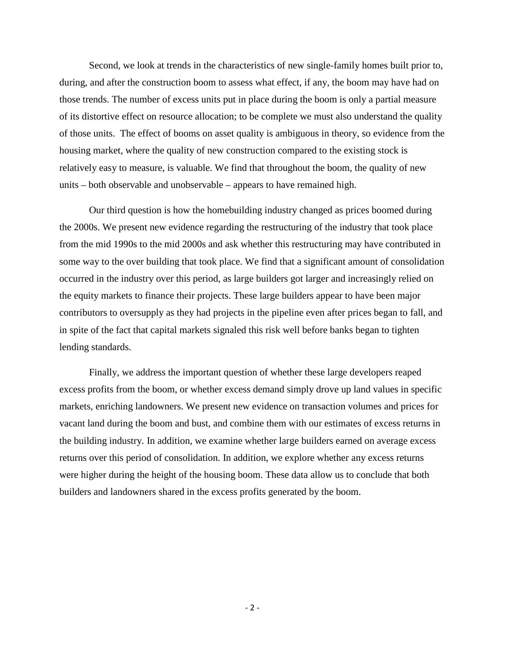Second, we look at trends in the characteristics of new single-family homes built prior to, during, and after the construction boom to assess what effect, if any, the boom may have had on those trends. The number of excess units put in place during the boom is only a partial measure of its distortive effect on resource allocation; to be complete we must also understand the quality of those units. The effect of booms on asset quality is ambiguous in theory, so evidence from the housing market, where the quality of new construction compared to the existing stock is relatively easy to measure, is valuable. We find that throughout the boom, the quality of new units – both observable and unobservable – appears to have remained high.

Our third question is how the homebuilding industry changed as prices boomed during the 2000s. We present new evidence regarding the restructuring of the industry that took place from the mid 1990s to the mid 2000s and ask whether this restructuring may have contributed in some way to the over building that took place. We find that a significant amount of consolidation occurred in the industry over this period, as large builders got larger and increasingly relied on the equity markets to finance their projects. These large builders appear to have been major contributors to oversupply as they had projects in the pipeline even after prices began to fall, and in spite of the fact that capital markets signaled this risk well before banks began to tighten lending standards.

Finally, we address the important question of whether these large developers reaped excess profits from the boom, or whether excess demand simply drove up land values in specific markets, enriching landowners. We present new evidence on transaction volumes and prices for vacant land during the boom and bust, and combine them with our estimates of excess returns in the building industry. In addition, we examine whether large builders earned on average excess returns over this period of consolidation. In addition, we explore whether any excess returns were higher during the height of the housing boom. These data allow us to conclude that both builders and landowners shared in the excess profits generated by the boom.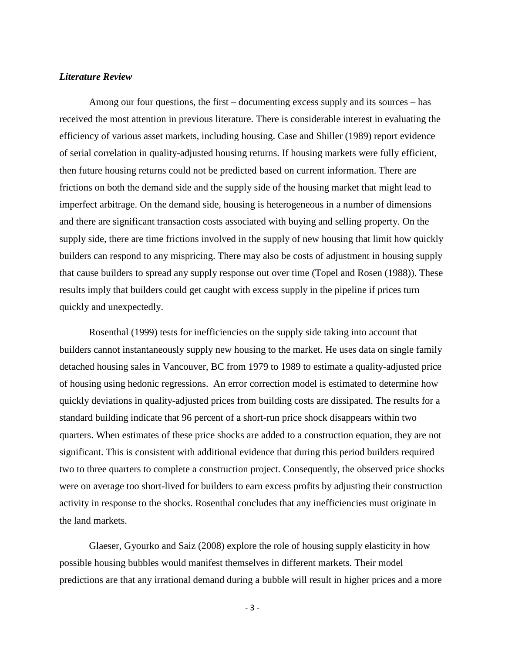# *Literature Review*

Among our four questions, the first – documenting excess supply and its sources – has received the most attention in previous literature. There is considerable interest in evaluating the efficiency of various asset markets, including housing. Case and Shiller (1989) report evidence of serial correlation in quality-adjusted housing returns. If housing markets were fully efficient, then future housing returns could not be predicted based on current information. There are frictions on both the demand side and the supply side of the housing market that might lead to imperfect arbitrage. On the demand side, housing is heterogeneous in a number of dimensions and there are significant transaction costs associated with buying and selling property. On the supply side, there are time frictions involved in the supply of new housing that limit how quickly builders can respond to any mispricing. There may also be costs of adjustment in housing supply that cause builders to spread any supply response out over time (Topel and Rosen (1988)). These results imply that builders could get caught with excess supply in the pipeline if prices turn quickly and unexpectedly.

Rosenthal (1999) tests for inefficiencies on the supply side taking into account that builders cannot instantaneously supply new housing to the market. He uses data on single family detached housing sales in Vancouver, BC from 1979 to 1989 to estimate a quality-adjusted price of housing using hedonic regressions. An error correction model is estimated to determine how quickly deviations in quality-adjusted prices from building costs are dissipated. The results for a standard building indicate that 96 percent of a short-run price shock disappears within two quarters. When estimates of these price shocks are added to a construction equation, they are not significant. This is consistent with additional evidence that during this period builders required two to three quarters to complete a construction project. Consequently, the observed price shocks were on average too short-lived for builders to earn excess profits by adjusting their construction activity in response to the shocks. Rosenthal concludes that any inefficiencies must originate in the land markets.

Glaeser, Gyourko and Saiz (2008) explore the role of housing supply elasticity in how possible housing bubbles would manifest themselves in different markets. Their model predictions are that any irrational demand during a bubble will result in higher prices and a more

- 3 -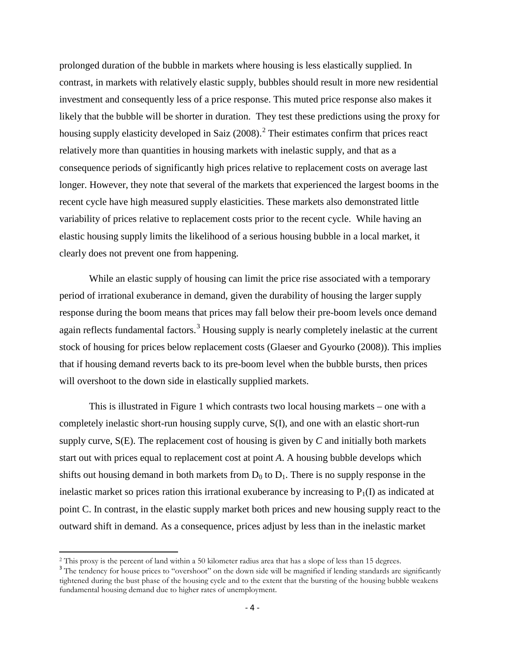prolonged duration of the bubble in markets where housing is less elastically supplied. In contrast, in markets with relatively elastic supply, bubbles should result in more new residential investment and consequently less of a price response. This muted price response also makes it likely that the bubble will be shorter in duration. They test these predictions using the proxy for housing supply elasticity developed in Saiz  $(2008)$  $(2008)$  $(2008)$ .<sup>2</sup> Their estimates confirm that prices react relatively more than quantities in housing markets with inelastic supply, and that as a consequence periods of significantly high prices relative to replacement costs on average last longer. However, they note that several of the markets that experienced the largest booms in the recent cycle have high measured supply elasticities. These markets also demonstrated little variability of prices relative to replacement costs prior to the recent cycle. While having an elastic housing supply limits the likelihood of a serious housing bubble in a local market, it clearly does not prevent one from happening.

While an elastic supply of housing can limit the price rise associated with a temporary period of irrational exuberance in demand, given the durability of housing the larger supply response during the boom means that prices may fall below their pre-boom levels once demand again reflects fundamental factors.<sup>[3](#page-5-1)</sup> Housing supply is nearly completely inelastic at the current stock of housing for prices below replacement costs (Glaeser and Gyourko (2008)). This implies that if housing demand reverts back to its pre-boom level when the bubble bursts, then prices will overshoot to the down side in elastically supplied markets.

This is illustrated in Figure 1 which contrasts two local housing markets – one with a completely inelastic short-run housing supply curve, S(I), and one with an elastic short-run supply curve, S(E). The replacement cost of housing is given by *C* and initially both markets start out with prices equal to replacement cost at point *A*. A housing bubble develops which shifts out housing demand in both markets from  $D_0$  to  $D_1$ . There is no supply response in the inelastic market so prices ration this irrational exuberance by increasing to  $P_1(I)$  as indicated at point C. In contrast, in the elastic supply market both prices and new housing supply react to the outward shift in demand. As a consequence, prices adjust by less than in the inelastic market

ı

<span id="page-5-0"></span><sup>2</sup> This proxy is the percent of land within a 50 kilometer radius area that has a slope of less than 15 degrees.

<span id="page-5-1"></span><sup>&</sup>lt;sup>3</sup> The tendency for house prices to "overshoot" on the down side will be magnified if lending standards are significantly tightened during the bust phase of the housing cycle and to the extent that the bursting of the housing bubble weakens fundamental housing demand due to higher rates of unemployment.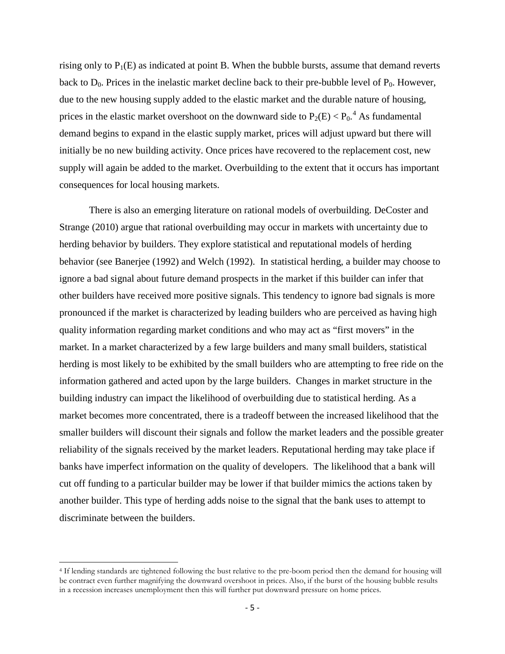rising only to  $P_1(E)$  as indicated at point B. When the bubble bursts, assume that demand reverts back to  $D_0$ . Prices in the inelastic market decline back to their pre-bubble level of  $P_0$ . However, due to the new housing supply added to the elastic market and the durable nature of housing, prices in the elastic market overshoot on the downward side to  $P_2(E) < P_0$ .<sup>[4](#page-6-0)</sup> As fundamental demand begins to expand in the elastic supply market, prices will adjust upward but there will initially be no new building activity. Once prices have recovered to the replacement cost, new supply will again be added to the market. Overbuilding to the extent that it occurs has important consequences for local housing markets.

There is also an emerging literature on rational models of overbuilding. DeCoster and Strange (2010) argue that rational overbuilding may occur in markets with uncertainty due to herding behavior by builders. They explore statistical and reputational models of herding behavior (see Banerjee (1992) and Welch (1992). In statistical herding, a builder may choose to ignore a bad signal about future demand prospects in the market if this builder can infer that other builders have received more positive signals. This tendency to ignore bad signals is more pronounced if the market is characterized by leading builders who are perceived as having high quality information regarding market conditions and who may act as "first movers" in the market. In a market characterized by a few large builders and many small builders, statistical herding is most likely to be exhibited by the small builders who are attempting to free ride on the information gathered and acted upon by the large builders. Changes in market structure in the building industry can impact the likelihood of overbuilding due to statistical herding. As a market becomes more concentrated, there is a tradeoff between the increased likelihood that the smaller builders will discount their signals and follow the market leaders and the possible greater reliability of the signals received by the market leaders. Reputational herding may take place if banks have imperfect information on the quality of developers. The likelihood that a bank will cut off funding to a particular builder may be lower if that builder mimics the actions taken by another builder. This type of herding adds noise to the signal that the bank uses to attempt to discriminate between the builders.

 $\overline{\phantom{0}}$ 

<span id="page-6-0"></span><sup>4</sup> If lending standards are tightened following the bust relative to the pre-boom period then the demand for housing will be contract even further magnifying the downward overshoot in prices. Also, if the burst of the housing bubble results in a recession increases unemployment then this will further put downward pressure on home prices.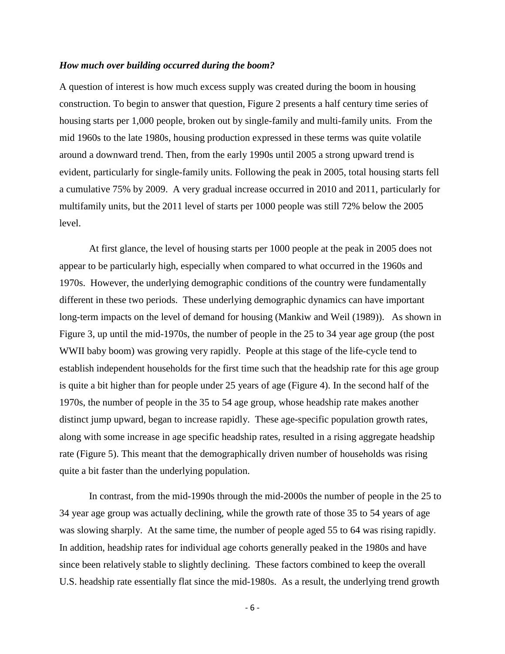# *How much over building occurred during the boom?*

A question of interest is how much excess supply was created during the boom in housing construction. To begin to answer that question, Figure 2 presents a half century time series of housing starts per 1,000 people, broken out by single-family and multi-family units. From the mid 1960s to the late 1980s, housing production expressed in these terms was quite volatile around a downward trend. Then, from the early 1990s until 2005 a strong upward trend is evident, particularly for single-family units. Following the peak in 2005, total housing starts fell a cumulative 75% by 2009. A very gradual increase occurred in 2010 and 2011, particularly for multifamily units, but the 2011 level of starts per 1000 people was still 72% below the 2005 level.

At first glance, the level of housing starts per 1000 people at the peak in 2005 does not appear to be particularly high, especially when compared to what occurred in the 1960s and 1970s. However, the underlying demographic conditions of the country were fundamentally different in these two periods. These underlying demographic dynamics can have important long-term impacts on the level of demand for housing (Mankiw and Weil (1989)). As shown in Figure 3, up until the mid-1970s, the number of people in the 25 to 34 year age group (the post WWII baby boom) was growing very rapidly. People at this stage of the life-cycle tend to establish independent households for the first time such that the headship rate for this age group is quite a bit higher than for people under 25 years of age (Figure 4). In the second half of the 1970s, the number of people in the 35 to 54 age group, whose headship rate makes another distinct jump upward, began to increase rapidly. These age-specific population growth rates, along with some increase in age specific headship rates, resulted in a rising aggregate headship rate (Figure 5). This meant that the demographically driven number of households was rising quite a bit faster than the underlying population.

In contrast, from the mid-1990s through the mid-2000s the number of people in the 25 to 34 year age group was actually declining, while the growth rate of those 35 to 54 years of age was slowing sharply. At the same time, the number of people aged 55 to 64 was rising rapidly. In addition, headship rates for individual age cohorts generally peaked in the 1980s and have since been relatively stable to slightly declining. These factors combined to keep the overall U.S. headship rate essentially flat since the mid-1980s. As a result, the underlying trend growth

- 6 -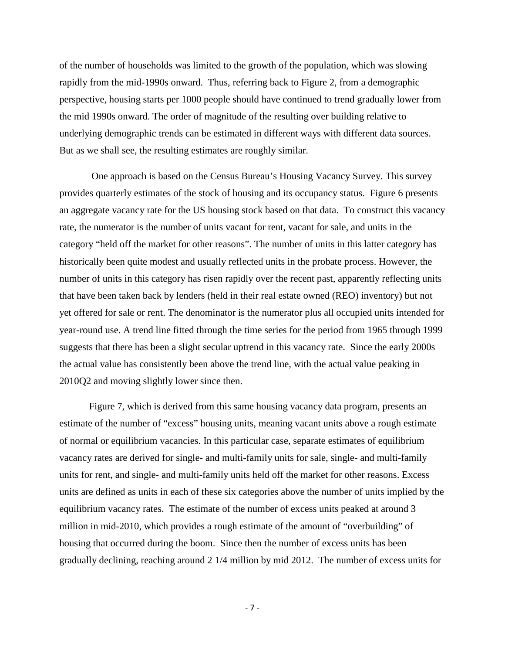of the number of households was limited to the growth of the population, which was slowing rapidly from the mid-1990s onward. Thus, referring back to Figure 2, from a demographic perspective, housing starts per 1000 people should have continued to trend gradually lower from the mid 1990s onward. The order of magnitude of the resulting over building relative to underlying demographic trends can be estimated in different ways with different data sources. But as we shall see, the resulting estimates are roughly similar.

One approach is based on the Census Bureau's Housing Vacancy Survey. This survey provides quarterly estimates of the stock of housing and its occupancy status. Figure 6 presents an aggregate vacancy rate for the US housing stock based on that data. To construct this vacancy rate, the numerator is the number of units vacant for rent, vacant for sale, and units in the category "held off the market for other reasons". The number of units in this latter category has historically been quite modest and usually reflected units in the probate process. However, the number of units in this category has risen rapidly over the recent past, apparently reflecting units that have been taken back by lenders (held in their real estate owned (REO) inventory) but not yet offered for sale or rent. The denominator is the numerator plus all occupied units intended for year-round use. A trend line fitted through the time series for the period from 1965 through 1999 suggests that there has been a slight secular uptrend in this vacancy rate. Since the early 2000s the actual value has consistently been above the trend line, with the actual value peaking in 2010Q2 and moving slightly lower since then.

Figure 7, which is derived from this same housing vacancy data program, presents an estimate of the number of "excess" housing units, meaning vacant units above a rough estimate of normal or equilibrium vacancies. In this particular case, separate estimates of equilibrium vacancy rates are derived for single- and multi-family units for sale, single- and multi-family units for rent, and single- and multi-family units held off the market for other reasons. Excess units are defined as units in each of these six categories above the number of units implied by the equilibrium vacancy rates. The estimate of the number of excess units peaked at around 3 million in mid-2010, which provides a rough estimate of the amount of "overbuilding" of housing that occurred during the boom. Since then the number of excess units has been gradually declining, reaching around 2 1/4 million by mid 2012. The number of excess units for

- 7 -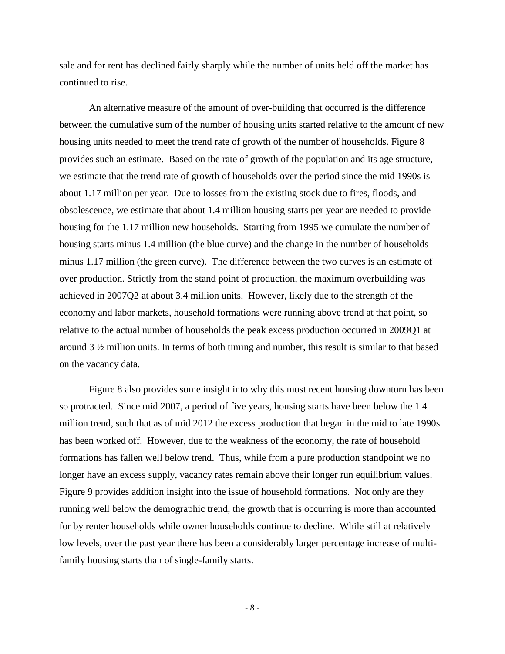sale and for rent has declined fairly sharply while the number of units held off the market has continued to rise.

An alternative measure of the amount of over-building that occurred is the difference between the cumulative sum of the number of housing units started relative to the amount of new housing units needed to meet the trend rate of growth of the number of households. Figure 8 provides such an estimate. Based on the rate of growth of the population and its age structure, we estimate that the trend rate of growth of households over the period since the mid 1990s is about 1.17 million per year. Due to losses from the existing stock due to fires, floods, and obsolescence, we estimate that about 1.4 million housing starts per year are needed to provide housing for the 1.17 million new households. Starting from 1995 we cumulate the number of housing starts minus 1.4 million (the blue curve) and the change in the number of households minus 1.17 million (the green curve). The difference between the two curves is an estimate of over production. Strictly from the stand point of production, the maximum overbuilding was achieved in 2007Q2 at about 3.4 million units. However, likely due to the strength of the economy and labor markets, household formations were running above trend at that point, so relative to the actual number of households the peak excess production occurred in 2009Q1 at around 3 ½ million units. In terms of both timing and number, this result is similar to that based on the vacancy data.

Figure 8 also provides some insight into why this most recent housing downturn has been so protracted. Since mid 2007, a period of five years, housing starts have been below the 1.4 million trend, such that as of mid 2012 the excess production that began in the mid to late 1990s has been worked off. However, due to the weakness of the economy, the rate of household formations has fallen well below trend. Thus, while from a pure production standpoint we no longer have an excess supply, vacancy rates remain above their longer run equilibrium values. Figure 9 provides addition insight into the issue of household formations. Not only are they running well below the demographic trend, the growth that is occurring is more than accounted for by renter households while owner households continue to decline. While still at relatively low levels, over the past year there has been a considerably larger percentage increase of multifamily housing starts than of single-family starts.

- 8 -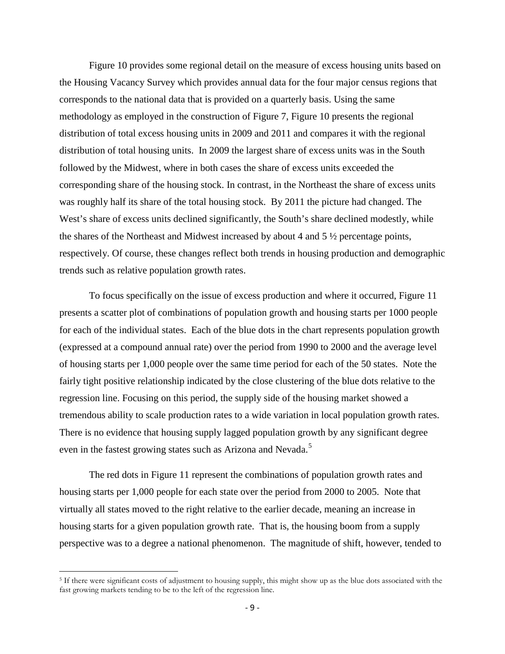Figure 10 provides some regional detail on the measure of excess housing units based on the Housing Vacancy Survey which provides annual data for the four major census regions that corresponds to the national data that is provided on a quarterly basis. Using the same methodology as employed in the construction of Figure 7, Figure 10 presents the regional distribution of total excess housing units in 2009 and 2011 and compares it with the regional distribution of total housing units. In 2009 the largest share of excess units was in the South followed by the Midwest, where in both cases the share of excess units exceeded the corresponding share of the housing stock. In contrast, in the Northeast the share of excess units was roughly half its share of the total housing stock. By 2011 the picture had changed. The West's share of excess units declined significantly, the South's share declined modestly, while the shares of the Northeast and Midwest increased by about 4 and  $5\frac{1}{2}$  percentage points, respectively. Of course, these changes reflect both trends in housing production and demographic trends such as relative population growth rates.

To focus specifically on the issue of excess production and where it occurred, Figure 11 presents a scatter plot of combinations of population growth and housing starts per 1000 people for each of the individual states. Each of the blue dots in the chart represents population growth (expressed at a compound annual rate) over the period from 1990 to 2000 and the average level of housing starts per 1,000 people over the same time period for each of the 50 states. Note the fairly tight positive relationship indicated by the close clustering of the blue dots relative to the regression line. Focusing on this period, the supply side of the housing market showed a tremendous ability to scale production rates to a wide variation in local population growth rates. There is no evidence that housing supply lagged population growth by any significant degree even in the fastest growing states such as Arizona and Nevada.<sup>[5](#page-10-0)</sup>

The red dots in Figure 11 represent the combinations of population growth rates and housing starts per 1,000 people for each state over the period from 2000 to 2005. Note that virtually all states moved to the right relative to the earlier decade, meaning an increase in housing starts for a given population growth rate. That is, the housing boom from a supply perspective was to a degree a national phenomenon. The magnitude of shift, however, tended to

 $\overline{\phantom{0}}$ 

<span id="page-10-0"></span><sup>5</sup> If there were significant costs of adjustment to housing supply, this might show up as the blue dots associated with the fast growing markets tending to be to the left of the regression line.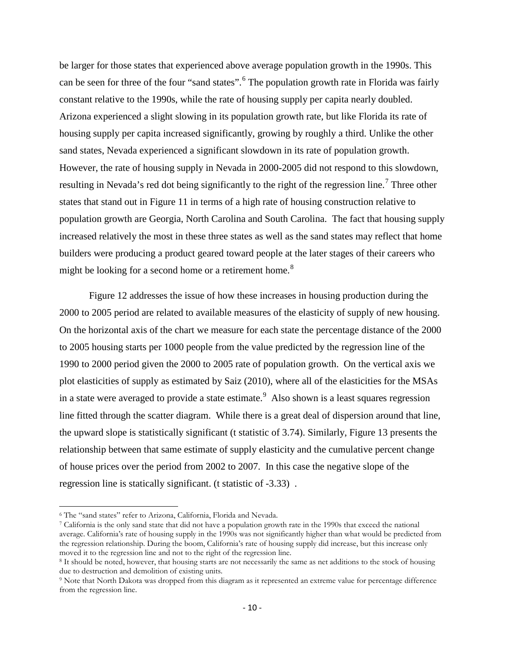be larger for those states that experienced above average population growth in the 1990s. This can be seen for three of the four "sand states". <sup>[6](#page-11-0)</sup> The population growth rate in Florida was fairly constant relative to the 1990s, while the rate of housing supply per capita nearly doubled. Arizona experienced a slight slowing in its population growth rate, but like Florida its rate of housing supply per capita increased significantly, growing by roughly a third. Unlike the other sand states, Nevada experienced a significant slowdown in its rate of population growth. However, the rate of housing supply in Nevada in 2000-2005 did not respond to this slowdown, resulting in Nevada's red dot being significantly to the right of the regression line.<sup>[7](#page-11-1)</sup> Three other states that stand out in Figure 11 in terms of a high rate of housing construction relative to population growth are Georgia, North Carolina and South Carolina. The fact that housing supply increased relatively the most in these three states as well as the sand states may reflect that home builders were producing a product geared toward people at the later stages of their careers who might be looking for a second home or a retirement home.<sup>[8](#page-11-2)</sup>

Figure 12 addresses the issue of how these increases in housing production during the 2000 to 2005 period are related to available measures of the elasticity of supply of new housing. On the horizontal axis of the chart we measure for each state the percentage distance of the 2000 to 2005 housing starts per 1000 people from the value predicted by the regression line of the 1990 to 2000 period given the 2000 to 2005 rate of population growth. On the vertical axis we plot elasticities of supply as estimated by Saiz (2010), where all of the elasticities for the MSAs in a state were averaged to provide a state estimate.<sup>[9](#page-11-3)</sup> Also shown is a least squares regression line fitted through the scatter diagram. While there is a great deal of dispersion around that line, the upward slope is statistically significant (t statistic of 3.74). Similarly, Figure 13 presents the relationship between that same estimate of supply elasticity and the cumulative percent change of house prices over the period from 2002 to 2007. In this case the negative slope of the regression line is statically significant. (t statistic of -3.33) .

 $\overline{\phantom{0}}$ 

<span id="page-11-0"></span><sup>6</sup> The "sand states" refer to Arizona, California, Florida and Nevada.

<span id="page-11-1"></span><sup>7</sup> California is the only sand state that did not have a population growth rate in the 1990s that exceed the national average. California's rate of housing supply in the 1990s was not significantly higher than what would be predicted from the regression relationship. During the boom, California's rate of housing supply did increase, but this increase only moved it to the regression line and not to the right of the regression line.

<span id="page-11-2"></span><sup>8</sup> It should be noted, however, that housing starts are not necessarily the same as net additions to the stock of housing due to destruction and demolition of existing units.

<span id="page-11-3"></span><sup>9</sup> Note that North Dakota was dropped from this diagram as it represented an extreme value for percentage difference from the regression line.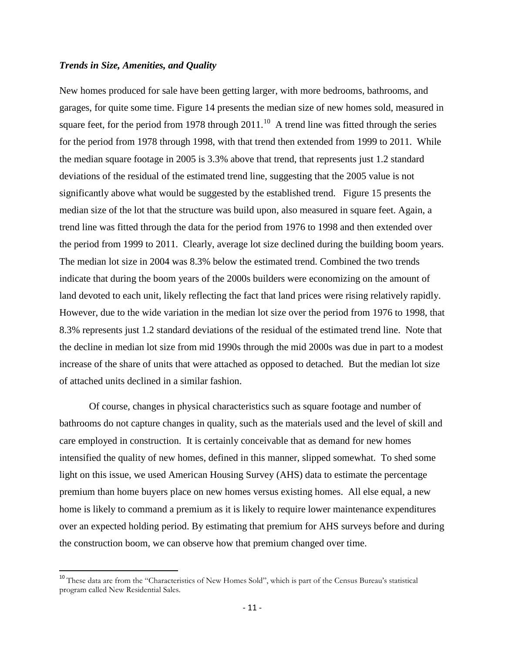#### *Trends in Size, Amenities, and Quality*

New homes produced for sale have been getting larger, with more bedrooms, bathrooms, and garages, for quite some time. Figure 14 presents the median size of new homes sold, measured in square feet, for the period from 1978 through  $2011$ .<sup>[10](#page-12-0)</sup> A trend line was fitted through the series for the period from 1978 through 1998, with that trend then extended from 1999 to 2011. While the median square footage in 2005 is 3.3% above that trend, that represents just 1.2 standard deviations of the residual of the estimated trend line, suggesting that the 2005 value is not significantly above what would be suggested by the established trend. Figure 15 presents the median size of the lot that the structure was build upon, also measured in square feet. Again, a trend line was fitted through the data for the period from 1976 to 1998 and then extended over the period from 1999 to 2011. Clearly, average lot size declined during the building boom years. The median lot size in 2004 was 8.3% below the estimated trend. Combined the two trends indicate that during the boom years of the 2000s builders were economizing on the amount of land devoted to each unit, likely reflecting the fact that land prices were rising relatively rapidly. However, due to the wide variation in the median lot size over the period from 1976 to 1998, that 8.3% represents just 1.2 standard deviations of the residual of the estimated trend line. Note that the decline in median lot size from mid 1990s through the mid 2000s was due in part to a modest increase of the share of units that were attached as opposed to detached. But the median lot size of attached units declined in a similar fashion.

Of course, changes in physical characteristics such as square footage and number of bathrooms do not capture changes in quality, such as the materials used and the level of skill and care employed in construction. It is certainly conceivable that as demand for new homes intensified the quality of new homes, defined in this manner, slipped somewhat. To shed some light on this issue, we used American Housing Survey (AHS) data to estimate the percentage premium than home buyers place on new homes versus existing homes. All else equal, a new home is likely to command a premium as it is likely to require lower maintenance expenditures over an expected holding period. By estimating that premium for AHS surveys before and during the construction boom, we can observe how that premium changed over time.

<span id="page-12-0"></span><sup>&</sup>lt;sup>10</sup> These data are from the "Characteristics of New Homes Sold", which is part of the Census Bureau's statistical program called New Residential Sales.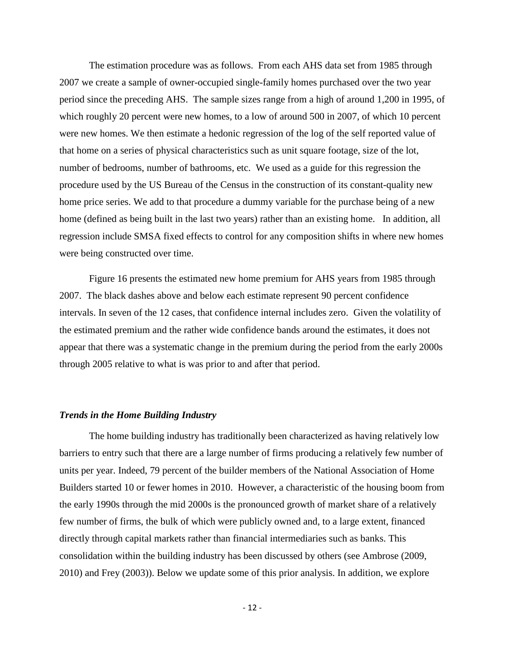The estimation procedure was as follows. From each AHS data set from 1985 through 2007 we create a sample of owner-occupied single-family homes purchased over the two year period since the preceding AHS. The sample sizes range from a high of around 1,200 in 1995, of which roughly 20 percent were new homes, to a low of around 500 in 2007, of which 10 percent were new homes. We then estimate a hedonic regression of the log of the self reported value of that home on a series of physical characteristics such as unit square footage, size of the lot, number of bedrooms, number of bathrooms, etc. We used as a guide for this regression the procedure used by the US Bureau of the Census in the construction of its constant-quality new home price series. We add to that procedure a dummy variable for the purchase being of a new home (defined as being built in the last two years) rather than an existing home. In addition, all regression include SMSA fixed effects to control for any composition shifts in where new homes were being constructed over time.

Figure 16 presents the estimated new home premium for AHS years from 1985 through 2007. The black dashes above and below each estimate represent 90 percent confidence intervals. In seven of the 12 cases, that confidence internal includes zero. Given the volatility of the estimated premium and the rather wide confidence bands around the estimates, it does not appear that there was a systematic change in the premium during the period from the early 2000s through 2005 relative to what is was prior to and after that period.

# *Trends in the Home Building Industry*

The home building industry has traditionally been characterized as having relatively low barriers to entry such that there are a large number of firms producing a relatively few number of units per year. Indeed, 79 percent of the builder members of the National Association of Home Builders started 10 or fewer homes in 2010. However, a characteristic of the housing boom from the early 1990s through the mid 2000s is the pronounced growth of market share of a relatively few number of firms, the bulk of which were publicly owned and, to a large extent, financed directly through capital markets rather than financial intermediaries such as banks. This consolidation within the building industry has been discussed by others (see Ambrose (2009, 2010) and Frey (2003)). Below we update some of this prior analysis. In addition, we explore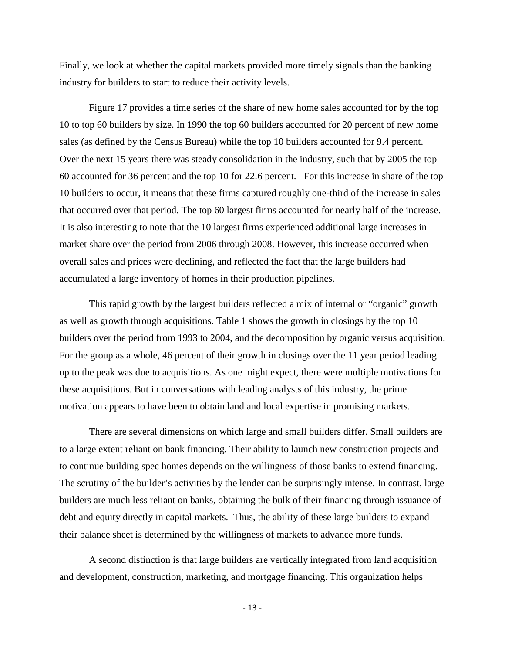Finally, we look at whether the capital markets provided more timely signals than the banking industry for builders to start to reduce their activity levels.

Figure 17 provides a time series of the share of new home sales accounted for by the top 10 to top 60 builders by size. In 1990 the top 60 builders accounted for 20 percent of new home sales (as defined by the Census Bureau) while the top 10 builders accounted for 9.4 percent. Over the next 15 years there was steady consolidation in the industry, such that by 2005 the top 60 accounted for 36 percent and the top 10 for 22.6 percent. For this increase in share of the top 10 builders to occur, it means that these firms captured roughly one-third of the increase in sales that occurred over that period. The top 60 largest firms accounted for nearly half of the increase. It is also interesting to note that the 10 largest firms experienced additional large increases in market share over the period from 2006 through 2008. However, this increase occurred when overall sales and prices were declining, and reflected the fact that the large builders had accumulated a large inventory of homes in their production pipelines.

This rapid growth by the largest builders reflected a mix of internal or "organic" growth as well as growth through acquisitions. Table 1 shows the growth in closings by the top 10 builders over the period from 1993 to 2004, and the decomposition by organic versus acquisition. For the group as a whole, 46 percent of their growth in closings over the 11 year period leading up to the peak was due to acquisitions. As one might expect, there were multiple motivations for these acquisitions. But in conversations with leading analysts of this industry, the prime motivation appears to have been to obtain land and local expertise in promising markets.

There are several dimensions on which large and small builders differ. Small builders are to a large extent reliant on bank financing. Their ability to launch new construction projects and to continue building spec homes depends on the willingness of those banks to extend financing. The scrutiny of the builder's activities by the lender can be surprisingly intense. In contrast, large builders are much less reliant on banks, obtaining the bulk of their financing through issuance of debt and equity directly in capital markets. Thus, the ability of these large builders to expand their balance sheet is determined by the willingness of markets to advance more funds.

A second distinction is that large builders are vertically integrated from land acquisition and development, construction, marketing, and mortgage financing. This organization helps

- 13 -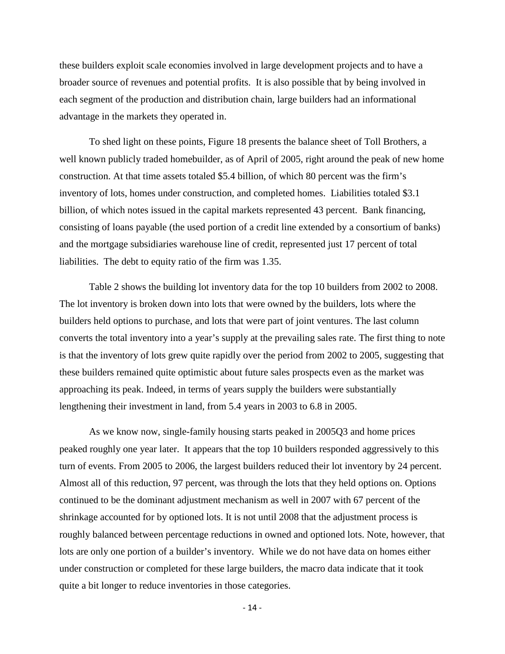these builders exploit scale economies involved in large development projects and to have a broader source of revenues and potential profits. It is also possible that by being involved in each segment of the production and distribution chain, large builders had an informational advantage in the markets they operated in.

To shed light on these points, Figure 18 presents the balance sheet of Toll Brothers, a well known publicly traded homebuilder, as of April of 2005, right around the peak of new home construction. At that time assets totaled \$5.4 billion, of which 80 percent was the firm's inventory of lots, homes under construction, and completed homes. Liabilities totaled \$3.1 billion, of which notes issued in the capital markets represented 43 percent. Bank financing, consisting of loans payable (the used portion of a credit line extended by a consortium of banks) and the mortgage subsidiaries warehouse line of credit, represented just 17 percent of total liabilities. The debt to equity ratio of the firm was 1.35.

Table 2 shows the building lot inventory data for the top 10 builders from 2002 to 2008. The lot inventory is broken down into lots that were owned by the builders, lots where the builders held options to purchase, and lots that were part of joint ventures. The last column converts the total inventory into a year's supply at the prevailing sales rate. The first thing to note is that the inventory of lots grew quite rapidly over the period from 2002 to 2005, suggesting that these builders remained quite optimistic about future sales prospects even as the market was approaching its peak. Indeed, in terms of years supply the builders were substantially lengthening their investment in land, from 5.4 years in 2003 to 6.8 in 2005.

As we know now, single-family housing starts peaked in 2005Q3 and home prices peaked roughly one year later. It appears that the top 10 builders responded aggressively to this turn of events. From 2005 to 2006, the largest builders reduced their lot inventory by 24 percent. Almost all of this reduction, 97 percent, was through the lots that they held options on. Options continued to be the dominant adjustment mechanism as well in 2007 with 67 percent of the shrinkage accounted for by optioned lots. It is not until 2008 that the adjustment process is roughly balanced between percentage reductions in owned and optioned lots. Note, however, that lots are only one portion of a builder's inventory. While we do not have data on homes either under construction or completed for these large builders, the macro data indicate that it took quite a bit longer to reduce inventories in those categories.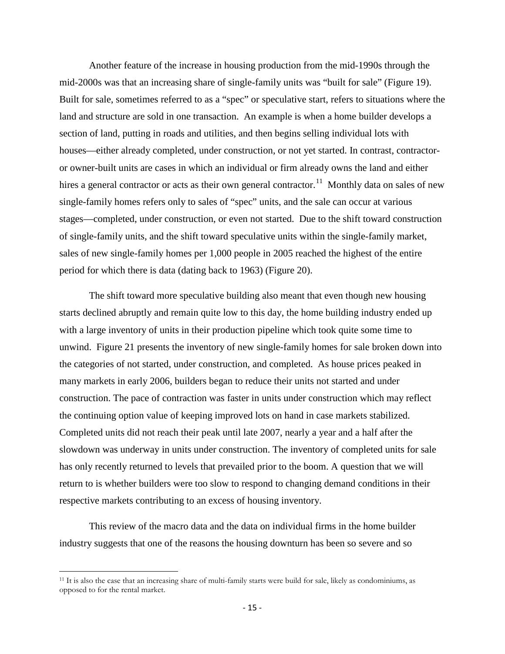Another feature of the increase in housing production from the mid-1990s through the mid-2000s was that an increasing share of single-family units was "built for sale" (Figure 19). Built for sale, sometimes referred to as a "spec" or speculative start, refers to situations where the land and structure are sold in one transaction. An example is when a home builder develops a section of land, putting in roads and utilities, and then begins selling individual lots with houses—either already completed, under construction, or not yet started. In contrast, contractoror owner-built units are cases in which an individual or firm already owns the land and either hires a general contractor or acts as their own general contractor.<sup>[11](#page-16-0)</sup> Monthly data on sales of new single-family homes refers only to sales of "spec" units, and the sale can occur at various stages—completed, under construction, or even not started. Due to the shift toward construction of single-family units, and the shift toward speculative units within the single-family market, sales of new single-family homes per 1,000 people in 2005 reached the highest of the entire period for which there is data (dating back to 1963) (Figure 20).

The shift toward more speculative building also meant that even though new housing starts declined abruptly and remain quite low to this day, the home building industry ended up with a large inventory of units in their production pipeline which took quite some time to unwind. Figure 21 presents the inventory of new single-family homes for sale broken down into the categories of not started, under construction, and completed. As house prices peaked in many markets in early 2006, builders began to reduce their units not started and under construction. The pace of contraction was faster in units under construction which may reflect the continuing option value of keeping improved lots on hand in case markets stabilized. Completed units did not reach their peak until late 2007, nearly a year and a half after the slowdown was underway in units under construction. The inventory of completed units for sale has only recently returned to levels that prevailed prior to the boom. A question that we will return to is whether builders were too slow to respond to changing demand conditions in their respective markets contributing to an excess of housing inventory.

This review of the macro data and the data on individual firms in the home builder industry suggests that one of the reasons the housing downturn has been so severe and so

 $\overline{\phantom{0}}$ 

<span id="page-16-0"></span> $11$  It is also the case that an increasing share of multi-family starts were build for sale, likely as condominiums, as opposed to for the rental market.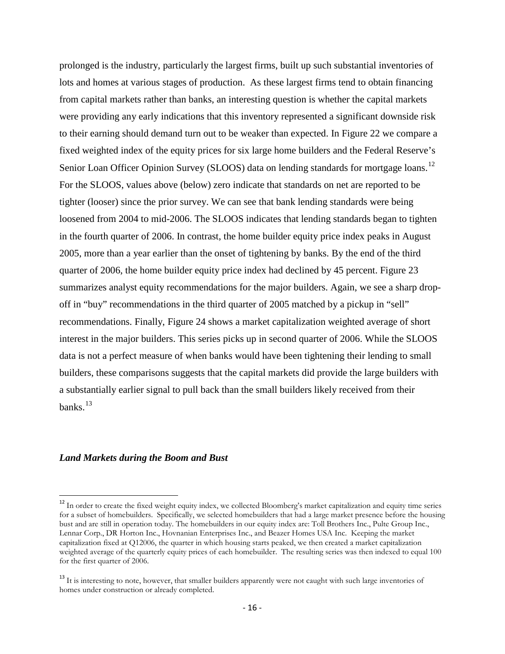prolonged is the industry, particularly the largest firms, built up such substantial inventories of lots and homes at various stages of production. As these largest firms tend to obtain financing from capital markets rather than banks, an interesting question is whether the capital markets were providing any early indications that this inventory represented a significant downside risk to their earning should demand turn out to be weaker than expected. In Figure 22 we compare a fixed weighted index of the equity prices for six large home builders and the Federal Reserve's Senior Loan Officer Opinion Survey (SLOOS) data on lending standards for mortgage loans.<sup>12</sup> For the SLOOS, values above (below) zero indicate that standards on net are reported to be tighter (looser) since the prior survey. We can see that bank lending standards were being loosened from 2004 to mid-2006. The SLOOS indicates that lending standards began to tighten in the fourth quarter of 2006. In contrast, the home builder equity price index peaks in August 2005, more than a year earlier than the onset of tightening by banks. By the end of the third quarter of 2006, the home builder equity price index had declined by 45 percent. Figure 23 summarizes analyst equity recommendations for the major builders. Again, we see a sharp dropoff in "buy" recommendations in the third quarter of 2005 matched by a pickup in "sell" recommendations. Finally, Figure 24 shows a market capitalization weighted average of short interest in the major builders. This series picks up in second quarter of 2006. While the SLOOS data is not a perfect measure of when banks would have been tightening their lending to small builders, these comparisons suggests that the capital markets did provide the large builders with a substantially earlier signal to pull back than the small builders likely received from their banks. $^{13}$  $^{13}$  $^{13}$ 

# *Land Markets during the Boom and Bust*

<span id="page-17-0"></span><sup>&</sup>lt;sup>12</sup> In order to create the fixed weight equity index, we collected Bloomberg's market capitalization and equity time series for a subset of homebuilders. Specifically, we selected homebuilders that had a large market presence before the housing bust and are still in operation today. The homebuilders in our equity index are: Toll Brothers Inc., Pulte Group Inc., Lennar Corp., DR Horton Inc., Hovnanian Enterprises Inc., and Beazer Homes USA Inc. Keeping the market capitalization fixed at Q12006, the quarter in which housing starts peaked, we then created a market capitalization weighted average of the quarterly equity prices of each homebuilder. The resulting series was then indexed to equal 100 for the first quarter of 2006.

<span id="page-17-1"></span><sup>&</sup>lt;sup>13</sup> It is interesting to note, however, that smaller builders apparently were not caught with such large inventories of homes under construction or already completed.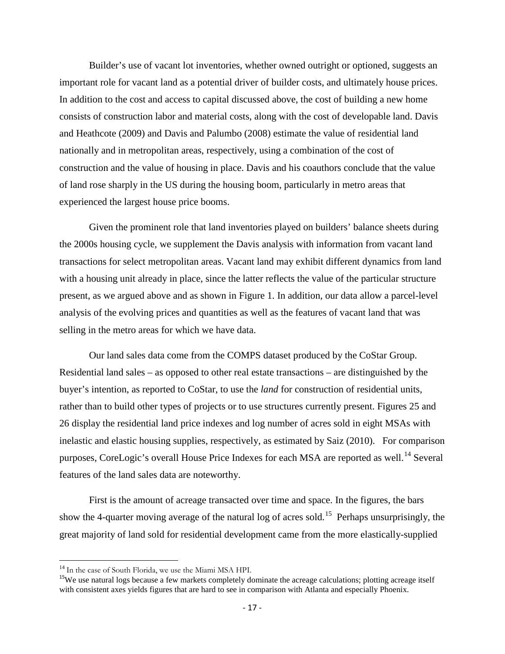Builder's use of vacant lot inventories, whether owned outright or optioned, suggests an important role for vacant land as a potential driver of builder costs, and ultimately house prices. In addition to the cost and access to capital discussed above, the cost of building a new home consists of construction labor and material costs, along with the cost of developable land. Davis and Heathcote (2009) and Davis and Palumbo (2008) estimate the value of residential land nationally and in metropolitan areas, respectively, using a combination of the cost of construction and the value of housing in place. Davis and his coauthors conclude that the value of land rose sharply in the US during the housing boom, particularly in metro areas that experienced the largest house price booms.

Given the prominent role that land inventories played on builders' balance sheets during the 2000s housing cycle, we supplement the Davis analysis with information from vacant land transactions for select metropolitan areas. Vacant land may exhibit different dynamics from land with a housing unit already in place, since the latter reflects the value of the particular structure present, as we argued above and as shown in Figure 1. In addition, our data allow a parcel-level analysis of the evolving prices and quantities as well as the features of vacant land that was selling in the metro areas for which we have data.

Our land sales data come from the COMPS dataset produced by the CoStar Group. Residential land sales – as opposed to other real estate transactions – are distinguished by the buyer's intention, as reported to CoStar, to use the *land* for construction of residential units, rather than to build other types of projects or to use structures currently present. Figures 25 and 26 display the residential land price indexes and log number of acres sold in eight MSAs with inelastic and elastic housing supplies, respectively, as estimated by Saiz (2010). For comparison purposes, CoreLogic's overall House Price Indexes for each MSA are reported as well.<sup>[14](#page-18-0)</sup> Several features of the land sales data are noteworthy.

First is the amount of acreage transacted over time and space. In the figures, the bars show the 4-quarter moving average of the natural log of acres sold.<sup>[15](#page-18-1)</sup> Perhaps unsurprisingly, the great majority of land sold for residential development came from the more elastically-supplied

 $\overline{\phantom{0}}$ 

<span id="page-18-0"></span><sup>&</sup>lt;sup>14</sup> In the case of South Florida, we use the Miami MSA HPI.

<span id="page-18-1"></span><sup>&</sup>lt;sup>15</sup>We use natural logs because a few markets completely dominate the acreage calculations; plotting acreage itself with consistent axes yields figures that are hard to see in comparison with Atlanta and especially Phoenix.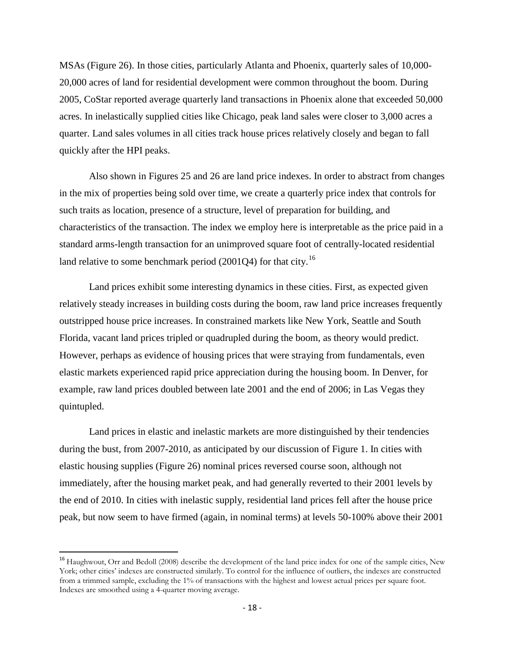MSAs (Figure 26). In those cities, particularly Atlanta and Phoenix, quarterly sales of 10,000- 20,000 acres of land for residential development were common throughout the boom. During 2005, CoStar reported average quarterly land transactions in Phoenix alone that exceeded 50,000 acres. In inelastically supplied cities like Chicago, peak land sales were closer to 3,000 acres a quarter. Land sales volumes in all cities track house prices relatively closely and began to fall quickly after the HPI peaks.

Also shown in Figures 25 and 26 are land price indexes. In order to abstract from changes in the mix of properties being sold over time, we create a quarterly price index that controls for such traits as location, presence of a structure, level of preparation for building, and characteristics of the transaction. The index we employ here is interpretable as the price paid in a standard arms-length transaction for an unimproved square foot of centrally-located residential land relative to some benchmark period (2001Q4) for that city.<sup>[16](#page-19-0)</sup>

Land prices exhibit some interesting dynamics in these cities. First, as expected given relatively steady increases in building costs during the boom, raw land price increases frequently outstripped house price increases. In constrained markets like New York, Seattle and South Florida, vacant land prices tripled or quadrupled during the boom, as theory would predict. However, perhaps as evidence of housing prices that were straying from fundamentals, even elastic markets experienced rapid price appreciation during the housing boom. In Denver, for example, raw land prices doubled between late 2001 and the end of 2006; in Las Vegas they quintupled.

Land prices in elastic and inelastic markets are more distinguished by their tendencies during the bust, from 2007-2010, as anticipated by our discussion of Figure 1. In cities with elastic housing supplies (Figure 26) nominal prices reversed course soon, although not immediately, after the housing market peak, and had generally reverted to their 2001 levels by the end of 2010. In cities with inelastic supply, residential land prices fell after the house price peak, but now seem to have firmed (again, in nominal terms) at levels 50-100% above their 2001

<span id="page-19-0"></span><sup>&</sup>lt;sup>16</sup> Haughwout, Orr and Bedoll (2008) describe the development of the land price index for one of the sample cities, New York; other cities' indexes are constructed similarly. To control for the influence of outliers, the indexes are constructed from a trimmed sample, excluding the 1% of transactions with the highest and lowest actual prices per square foot. Indexes are smoothed using a 4-quarter moving average.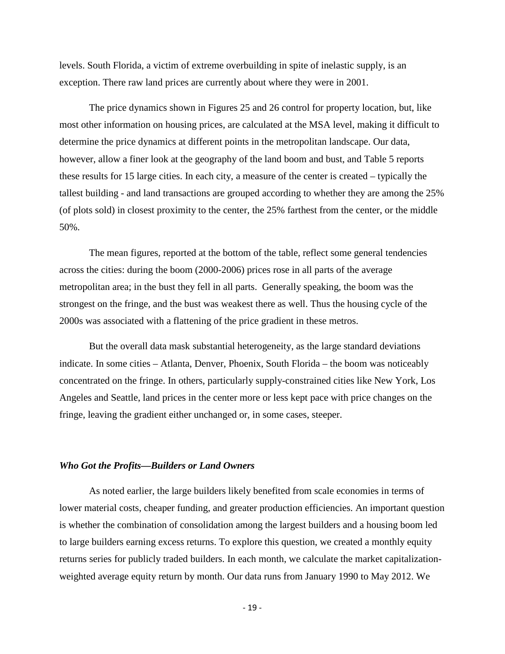levels. South Florida, a victim of extreme overbuilding in spite of inelastic supply, is an exception. There raw land prices are currently about where they were in 2001.

The price dynamics shown in Figures 25 and 26 control for property location, but, like most other information on housing prices, are calculated at the MSA level, making it difficult to determine the price dynamics at different points in the metropolitan landscape. Our data, however, allow a finer look at the geography of the land boom and bust, and Table 5 reports these results for 15 large cities. In each city, a measure of the center is created – typically the tallest building - and land transactions are grouped according to whether they are among the 25% (of plots sold) in closest proximity to the center, the 25% farthest from the center, or the middle 50%.

The mean figures, reported at the bottom of the table, reflect some general tendencies across the cities: during the boom (2000-2006) prices rose in all parts of the average metropolitan area; in the bust they fell in all parts. Generally speaking, the boom was the strongest on the fringe, and the bust was weakest there as well. Thus the housing cycle of the 2000s was associated with a flattening of the price gradient in these metros.

But the overall data mask substantial heterogeneity, as the large standard deviations indicate. In some cities – Atlanta, Denver, Phoenix, South Florida – the boom was noticeably concentrated on the fringe. In others, particularly supply-constrained cities like New York, Los Angeles and Seattle, land prices in the center more or less kept pace with price changes on the fringe, leaving the gradient either unchanged or, in some cases, steeper.

# *Who Got the Profits—Builders or Land Owners*

As noted earlier, the large builders likely benefited from scale economies in terms of lower material costs, cheaper funding, and greater production efficiencies. An important question is whether the combination of consolidation among the largest builders and a housing boom led to large builders earning excess returns. To explore this question, we created a monthly equity returns series for publicly traded builders. In each month, we calculate the market capitalizationweighted average equity return by month. Our data runs from January 1990 to May 2012. We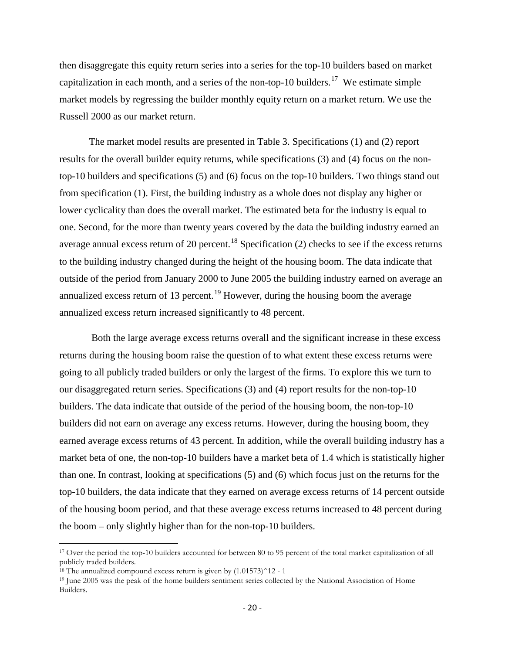then disaggregate this equity return series into a series for the top-10 builders based on market capitalization in each month, and a series of the non-top-10 builders.<sup>[17](#page-21-0)</sup> We estimate simple market models by regressing the builder monthly equity return on a market return. We use the Russell 2000 as our market return.

The market model results are presented in Table 3. Specifications (1) and (2) report results for the overall builder equity returns, while specifications (3) and (4) focus on the nontop-10 builders and specifications (5) and (6) focus on the top-10 builders. Two things stand out from specification (1). First, the building industry as a whole does not display any higher or lower cyclicality than does the overall market. The estimated beta for the industry is equal to one. Second, for the more than twenty years covered by the data the building industry earned an average annual excess return of 20 percent.<sup>[18](#page-21-1)</sup> Specification (2) checks to see if the excess returns to the building industry changed during the height of the housing boom. The data indicate that outside of the period from January 2000 to June 2005 the building industry earned on average an annualized excess return of 13 percent.<sup>[19](#page-21-2)</sup> However, during the housing boom the average annualized excess return increased significantly to 48 percent.

Both the large average excess returns overall and the significant increase in these excess returns during the housing boom raise the question of to what extent these excess returns were going to all publicly traded builders or only the largest of the firms. To explore this we turn to our disaggregated return series. Specifications (3) and (4) report results for the non-top-10 builders. The data indicate that outside of the period of the housing boom, the non-top-10 builders did not earn on average any excess returns. However, during the housing boom, they earned average excess returns of 43 percent. In addition, while the overall building industry has a market beta of one, the non-top-10 builders have a market beta of 1.4 which is statistically higher than one. In contrast, looking at specifications (5) and (6) which focus just on the returns for the top-10 builders, the data indicate that they earned on average excess returns of 14 percent outside of the housing boom period, and that these average excess returns increased to 48 percent during the boom – only slightly higher than for the non-top-10 builders.

 $\overline{\phantom{0}}$ 

<span id="page-21-0"></span><sup>&</sup>lt;sup>17</sup> Over the period the top-10 builders accounted for between 80 to 95 percent of the total market capitalization of all publicly traded builders.

<span id="page-21-1"></span> $18$  The annualized compound excess return is given by  $(1.01573)^{12} - 1$ 

<span id="page-21-2"></span><sup>&</sup>lt;sup>19</sup> June 2005 was the peak of the home builders sentiment series collected by the National Association of Home Builders.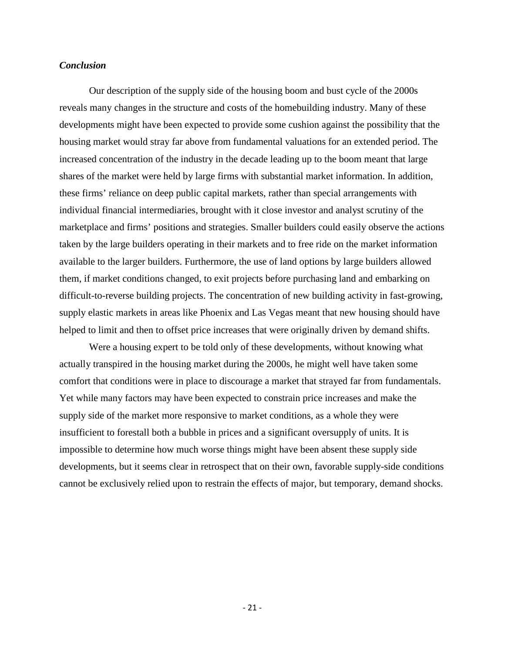# *Conclusion*

Our description of the supply side of the housing boom and bust cycle of the 2000s reveals many changes in the structure and costs of the homebuilding industry. Many of these developments might have been expected to provide some cushion against the possibility that the housing market would stray far above from fundamental valuations for an extended period. The increased concentration of the industry in the decade leading up to the boom meant that large shares of the market were held by large firms with substantial market information. In addition, these firms' reliance on deep public capital markets, rather than special arrangements with individual financial intermediaries, brought with it close investor and analyst scrutiny of the marketplace and firms' positions and strategies. Smaller builders could easily observe the actions taken by the large builders operating in their markets and to free ride on the market information available to the larger builders. Furthermore, the use of land options by large builders allowed them, if market conditions changed, to exit projects before purchasing land and embarking on difficult-to-reverse building projects. The concentration of new building activity in fast-growing, supply elastic markets in areas like Phoenix and Las Vegas meant that new housing should have helped to limit and then to offset price increases that were originally driven by demand shifts.

Were a housing expert to be told only of these developments, without knowing what actually transpired in the housing market during the 2000s, he might well have taken some comfort that conditions were in place to discourage a market that strayed far from fundamentals. Yet while many factors may have been expected to constrain price increases and make the supply side of the market more responsive to market conditions, as a whole they were insufficient to forestall both a bubble in prices and a significant oversupply of units. It is impossible to determine how much worse things might have been absent these supply side developments, but it seems clear in retrospect that on their own, favorable supply-side conditions cannot be exclusively relied upon to restrain the effects of major, but temporary, demand shocks.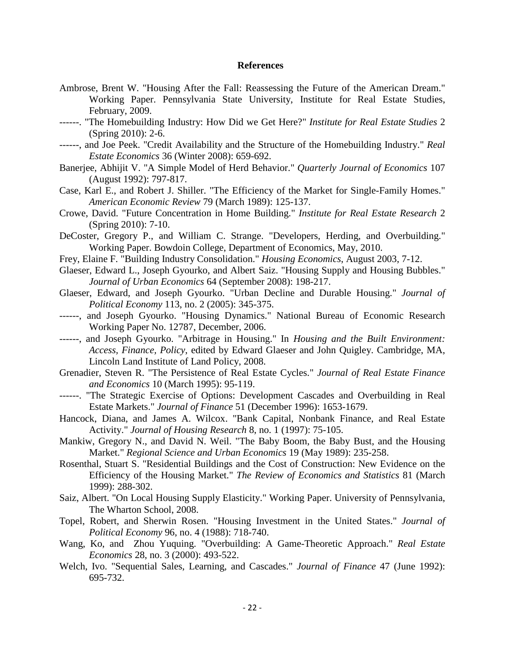# **References**

- Ambrose, Brent W. "Housing After the Fall: Reassessing the Future of the American Dream." Working Paper. Pennsylvania State University, Institute for Real Estate Studies, February, 2009.
- ------. "The Homebuilding Industry: How Did we Get Here?" *Institute for Real Estate Studies* 2 (Spring 2010): 2-6.
- ------, and Joe Peek. "Credit Availability and the Structure of the Homebuilding Industry." *Real Estate Economics* 36 (Winter 2008): 659-692.
- Banerjee, Abhijit V. "A Simple Model of Herd Behavior." *Quarterly Journal of Economics* 107 (August 1992): 797-817.
- Case, Karl E., and Robert J. Shiller. "The Efficiency of the Market for Single-Family Homes." *American Economic Review* 79 (March 1989): 125-137.
- Crowe, David. "Future Concentration in Home Building." *Institute for Real Estate Research* 2 (Spring 2010): 7-10.
- DeCoster, Gregory P., and William C. Strange. "Developers, Herding, and Overbuilding." Working Paper. Bowdoin College, Department of Economics, May, 2010.
- Frey, Elaine F. "Building Industry Consolidation." *Housing Economics*, August 2003, 7-12.
- Glaeser, Edward L., Joseph Gyourko, and Albert Saiz. "Housing Supply and Housing Bubbles." *Journal of Urban Economics* 64 (September 2008): 198-217.
- Glaeser, Edward, and Joseph Gyourko. "Urban Decline and Durable Housing." *Journal of Political Economy* 113, no. 2 (2005): 345-375.
- ------, and Joseph Gyourko. "Housing Dynamics." National Bureau of Economic Research Working Paper No. 12787, December, 2006.
- ------, and Joseph Gyourko. "Arbitrage in Housing." In *Housing and the Built Environment: Access, Finance, Policy*, edited by Edward Glaeser and John Quigley. Cambridge, MA, Lincoln Land Institute of Land Policy, 2008.
- Grenadier, Steven R. "The Persistence of Real Estate Cycles." *Journal of Real Estate Finance and Economics* 10 (March 1995): 95-119.
- ------. "The Strategic Exercise of Options: Development Cascades and Overbuilding in Real Estate Markets." *Journal of Finance* 51 (December 1996): 1653-1679.
- Hancock, Diana, and James A. Wilcox. "Bank Capital, Nonbank Finance, and Real Estate Activity." *Journal of Housing Research* 8, no. 1 (1997): 75-105.
- Mankiw, Gregory N., and David N. Weil. "The Baby Boom, the Baby Bust, and the Housing Market." *Regional Science and Urban Economics* 19 (May 1989): 235-258.
- Rosenthal, Stuart S. "Residential Buildings and the Cost of Construction: New Evidence on the Efficiency of the Housing Market." *The Review of Economics and Statistics* 81 (March 1999): 288-302.
- Saiz, Albert. "On Local Housing Supply Elasticity." Working Paper. University of Pennsylvania, The Wharton School, 2008.
- Topel, Robert, and Sherwin Rosen. "Housing Investment in the United States." *Journal of Political Economy* 96, no. 4 (1988): 718-740.
- Wang, Ko, and Zhou Yuquing. "Overbuilding: A Game-Theoretic Approach." *Real Estate Economics* 28, no. 3 (2000): 493-522.
- Welch, Ivo. "Sequential Sales, Learning, and Cascades." *Journal of Finance* 47 (June 1992): 695-732.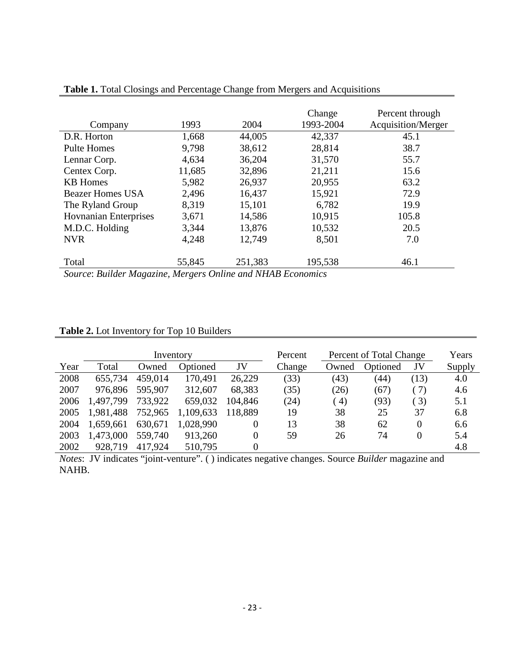| Company                                                                   | 1993                           | 2004       | Change<br>1993-2004 | Percent through<br>Acquisition/Merger |
|---------------------------------------------------------------------------|--------------------------------|------------|---------------------|---------------------------------------|
| D.R. Horton                                                               | 1,668                          | 44,005     | 42,337              | 45.1                                  |
| <b>Pulte Homes</b>                                                        | 9,798                          | 38,612     | 28,814              | 38.7                                  |
| Lennar Corp.                                                              | 4,634                          | 36,204     | 31,570              | 55.7                                  |
| Centex Corp.                                                              | 11,685                         | 32,896     | 21,211              | 15.6                                  |
| <b>KB</b> Homes                                                           | 5,982                          | 26,937     | 20,955              | 63.2                                  |
| <b>Beazer Homes USA</b>                                                   | 2,496                          | 16,437     | 15,921              | 72.9                                  |
| The Ryland Group                                                          | 8,319                          | 15,101     | 6,782               | 19.9                                  |
| <b>Hovnanian Enterprises</b>                                              | 3,671                          | 14,586     | 10,915              | 105.8                                 |
| M.D.C. Holding                                                            | 3,344                          | 13,876     | 10,532              | 20.5                                  |
| <b>NVR</b>                                                                | 4,248                          | 12,749     | 8,501               | 7.0                                   |
|                                                                           |                                |            |                     |                                       |
| Total                                                                     | 55,845                         | 251,383    | 195,538             | 46.1                                  |
| $\sim$<br>$\cdot$ $\cdot$ $\cdot$ $\cdot$<br>$\mathbf{r}$<br>$\mathbf{r}$ | $\sim$ $\cdot$<br>$\mathbf{z}$ | 1.3777A D. |                     |                                       |

**Table 1.** Total Closings and Percentage Change from Mergers and Acquisitions

*Source*: *Builder Magazine, Mergers Online and NHAB Economics*

|      | Inventory |                 |                | Percent | Percent of Total Change |      |                   | Years |        |
|------|-----------|-----------------|----------------|---------|-------------------------|------|-------------------|-------|--------|
| Year | Total     |                 | Owned Optioned | IV.     | Change                  |      | Owned Optioned JV |       | Supply |
| 2008 |           | 655,734 459,014 | 170.491        | 26,229  | (33)                    | (43) | (44)              | (13)  | 4.0    |

# **Table 2.** Lot Inventory for Top 10 Builders

*Notes*: JV indicates "joint-venture". ( ) indicates negative changes. Source *Builder* magazine and NAHB.

 976,896 595,907 312,607 68,383 (35) (26) (67) ( 7) 4.6 1,497,799 733,922 659,032 104,846 (24) ( 4) (93) ( 3) 5.1 1,981,488 752,965 1,109,633 118,889 19 38 25 37 6.8 1,659,661 630,671 1,028,990 0 13 38 62 0 6.6 1,473,000 559,740 913,260 0 59 26 74 0 5.4 928,719 417,924 510,795 0 4.8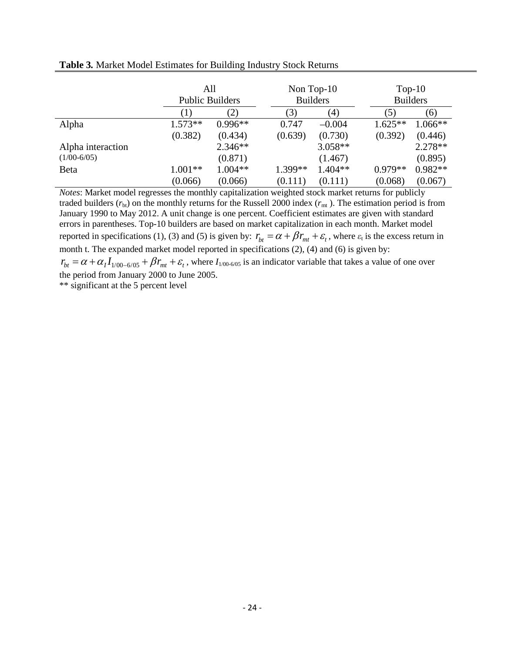|                   |                  | All<br><b>Public Builders</b> |         | Non Top-10<br><b>Builders</b> |           | $Top-10$<br><b>Builders</b> |  |
|-------------------|------------------|-------------------------------|---------|-------------------------------|-----------|-----------------------------|--|
|                   | $\left(1\right)$ | $\left( 2\right)$             | 3)      | (4)                           | (5)       | (6)                         |  |
| Alpha             | $1.573**$        | $0.996**$                     | 0.747   | $-0.004$                      | $1.625**$ | $1.066**$                   |  |
|                   | (0.382)          | (0.434)                       | (0.639) | (0.730)                       | (0.392)   | (0.446)                     |  |
| Alpha interaction |                  | $2.346**$                     |         | $3.058**$                     |           | $2.278**$                   |  |
| $(1/00-6/05)$     |                  | (0.871)                       |         | (1.467)                       |           | (0.895)                     |  |
| Beta              | $1.001**$        | $1.004**$                     | 1.399** | $1.404**$                     | $0.979**$ | $0.982**$                   |  |
|                   | (0.066)          | (0.066)                       | (0.111) | (0.111)                       | (0.068)   | (0.067)                     |  |

# **Table 3***.* Market Model Estimates for Building Industry Stock Returns

*Notes*: Market model regresses the monthly capitalization weighted stock market returns for publicly traded builders  $(r_{bt})$  on the monthly returns for the Russell 2000 index  $(r_{mt})$ . The estimation period is from January 1990 to May 2012. A unit change is one percent. Coefficient estimates are given with standard errors in parentheses. Top-10 builders are based on market capitalization in each month. Market model reported in specifications (1), (3) and (5) is given by:  $r_{bt} = \alpha + \beta r_{mt} + \varepsilon_t$ , where  $\varepsilon_t$  is the excess return in month t. The expanded market model reported in specifications (2), (4) and (6) is given by:  $r_{bt} = \alpha + \alpha_I I_{1/00-6/05} + \beta r_{mt} + \varepsilon_t$ , where  $I_{1/00-6/05}$  is an indicator variable that takes a value of one over the period from January 2000 to June 2005.

\*\* significant at the 5 percent level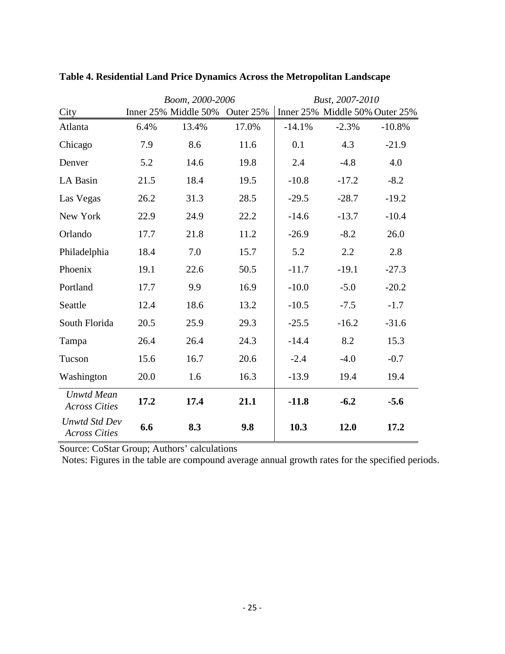|                                              | Boom, 2000-2006 |                                |       | Bust, 2007-2010 |                                |          |
|----------------------------------------------|-----------------|--------------------------------|-------|-----------------|--------------------------------|----------|
| City                                         |                 | Inner 25% Middle 50% Outer 25% |       |                 | Inner 25% Middle 50% Outer 25% |          |
| Atlanta                                      | 6.4%            | 13.4%                          | 17.0% | $-14.1%$        | $-2.3%$                        | $-10.8%$ |
| Chicago                                      | 7.9             | 8.6                            | 11.6  | 0.1             | 4.3                            | $-21.9$  |
| Denver                                       | 5.2             | 14.6                           | 19.8  | 2.4             | $-4.8$                         | 4.0      |
| LA Basin                                     | 21.5            | 18.4                           | 19.5  | $-10.8$         | $-17.2$                        | $-8.2$   |
| Las Vegas                                    | 26.2            | 31.3                           | 28.5  | $-29.5$         | $-28.7$                        | $-19.2$  |
| New York                                     | 22.9            | 24.9                           | 22.2  | $-14.6$         | $-13.7$                        | $-10.4$  |
| Orlando                                      | 17.7            | 21.8                           | 11.2  | $-26.9$         | $-8.2$                         | 26.0     |
| Philadelphia                                 | 18.4            | 7.0                            | 15.7  | 5.2             | 2.2                            | 2.8      |
| Phoenix                                      | 19.1            | 22.6                           | 50.5  | $-11.7$         | $-19.1$                        | $-27.3$  |
| Portland                                     | 17.7            | 9.9                            | 16.9  | $-10.0$         | $-5.0$                         | $-20.2$  |
| Seattle                                      | 12.4            | 18.6                           | 13.2  | $-10.5$         | $-7.5$                         | $-1.7$   |
| South Florida                                | 20.5            | 25.9                           | 29.3  | $-25.5$         | $-16.2$                        | $-31.6$  |
| Tampa                                        | 26.4            | 26.4                           | 24.3  | $-14.4$         | 8.2                            | 15.3     |
| Tucson                                       | 15.6            | 16.7                           | 20.6  | $-2.4$          | $-4.0$                         | $-0.7$   |
| Washington                                   | 20.0            | 1.6                            | 16.3  | $-13.9$         | 19.4                           | 19.4     |
| <b>Unwtd Mean</b><br><b>Across Cities</b>    | 17.2            | 17.4                           | 21.1  | $-11.8$         | $-6.2$                         | $-5.6$   |
| <b>Unwtd Std Dev</b><br><b>Across Cities</b> | 6.6             | 8.3                            | 9.8   | 10.3            | 12.0                           | 17.2     |

**Table 4. Residential Land Price Dynamics Across the Metropolitan Landscape**

Source: CoStar Group; Authors' calculations

Notes: Figures in the table are compound average annual growth rates for the specified periods.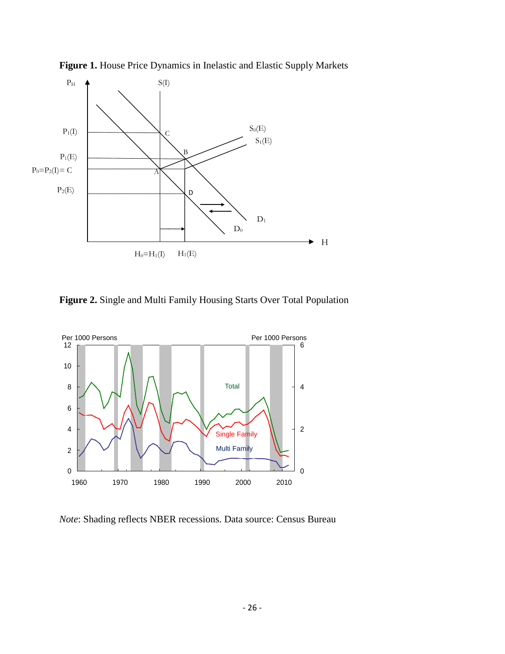



**Figure 2.** Single and Multi Family Housing Starts Over Total Population



*Note*: Shading reflects NBER recessions. Data source: Census Bureau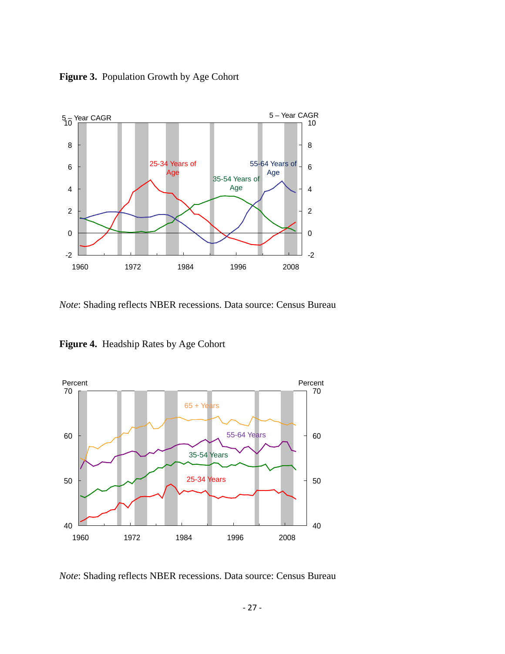**Figure 3.** Population Growth by Age Cohort



*Note*: Shading reflects NBER recessions. Data source: Census Bureau



**Figure 4.** Headship Rates by Age Cohort

*Note*: Shading reflects NBER recessions. Data source: Census Bureau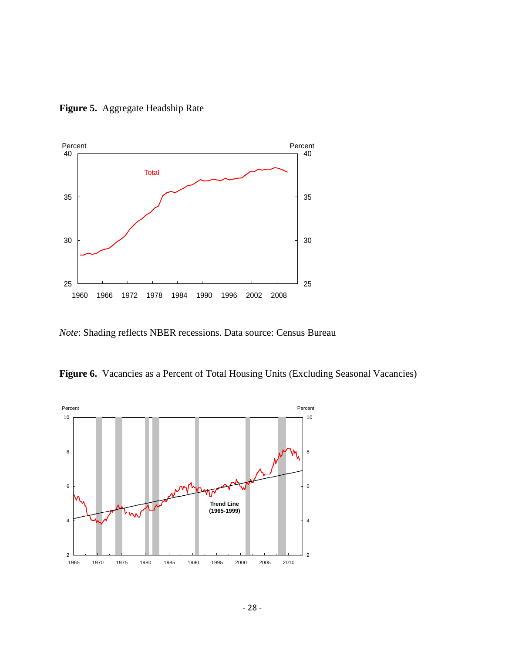**Figure 5.** Aggregate Headship Rate



*Note*: Shading reflects NBER recessions. Data source: Census Bureau

Figure 6. Vacancies as a Percent of Total Housing Units (Excluding Seasonal Vacancies)

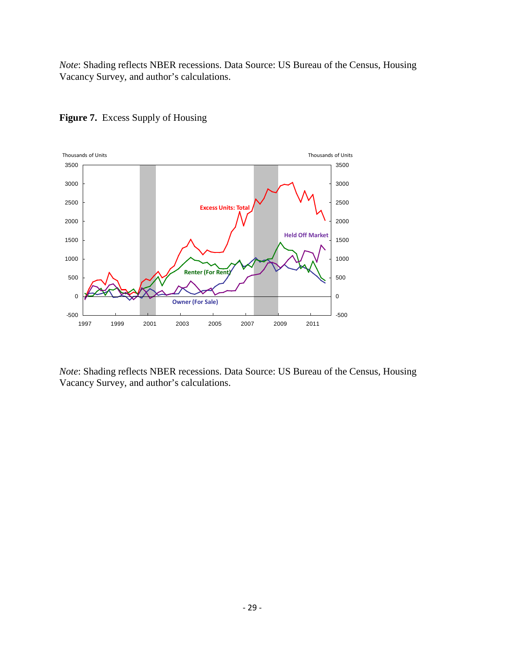*Note*: Shading reflects NBER recessions. Data Source: US Bureau of the Census, Housing Vacancy Survey, and author's calculations.



**Figure 7.** Excess Supply of Housing

*Note*: Shading reflects NBER recessions. Data Source: US Bureau of the Census, Housing Vacancy Survey, and author's calculations.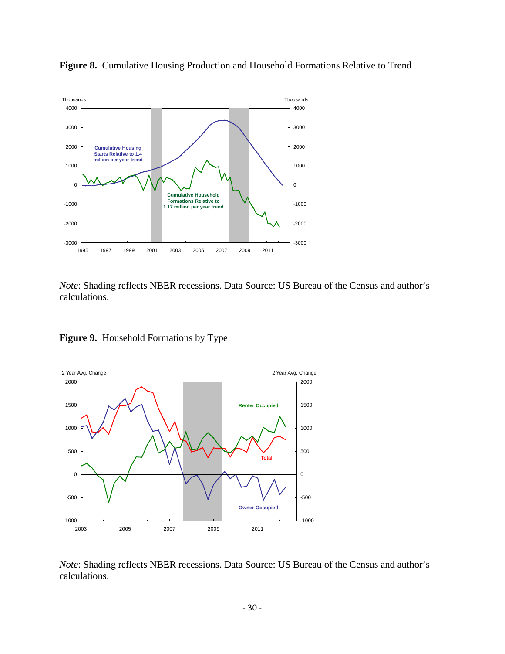

**Figure 8.** Cumulative Housing Production and Household Formations Relative to Trend

*Note*: Shading reflects NBER recessions. Data Source: US Bureau of the Census and author's calculations.

**Figure 9.** Household Formations by Type



*Note*: Shading reflects NBER recessions. Data Source: US Bureau of the Census and author's calculations.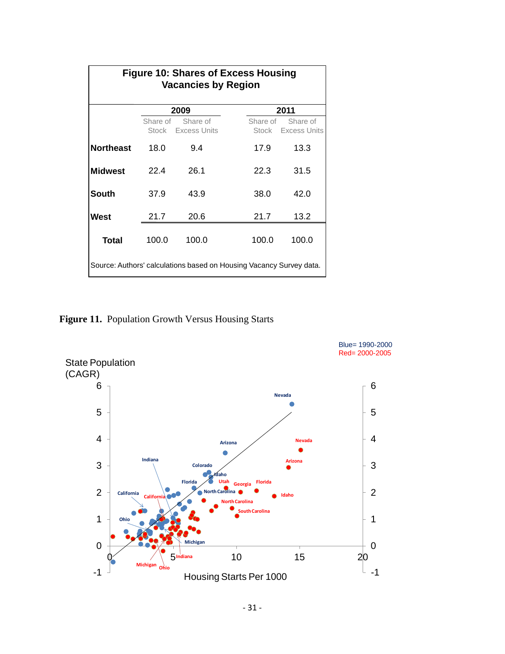| <b>Figure 10: Shares of Excess Housing</b><br><b>Vacancies by Region</b> |       |                                         |       |                                         |  |  |
|--------------------------------------------------------------------------|-------|-----------------------------------------|-------|-----------------------------------------|--|--|
|                                                                          |       | 2009                                    |       | 2011                                    |  |  |
|                                                                          |       | Share of Share of<br>Stock Excess Units |       | Share of Share of<br>Stock Excess Units |  |  |
| <b>Northeast</b>                                                         | 18.0  | 9.4                                     | 17.9  | 13.3                                    |  |  |
| <b>Midwest</b>                                                           | 22.4  | 26.1                                    | 22.3  | 31.5                                    |  |  |
| South                                                                    | 37.9  | 43.9                                    | 38.0  | 42.0                                    |  |  |
| West                                                                     | 21.7  | 20.6                                    | 21.7  | 13.2                                    |  |  |
| Total                                                                    | 100.0 | 100.0                                   | 100.0 | 100.0                                   |  |  |
| Source: Authors' calculations based on Housing Vacancy Survey data.      |       |                                         |       |                                         |  |  |

**Figure 11.** Population Growth Versus Housing Starts

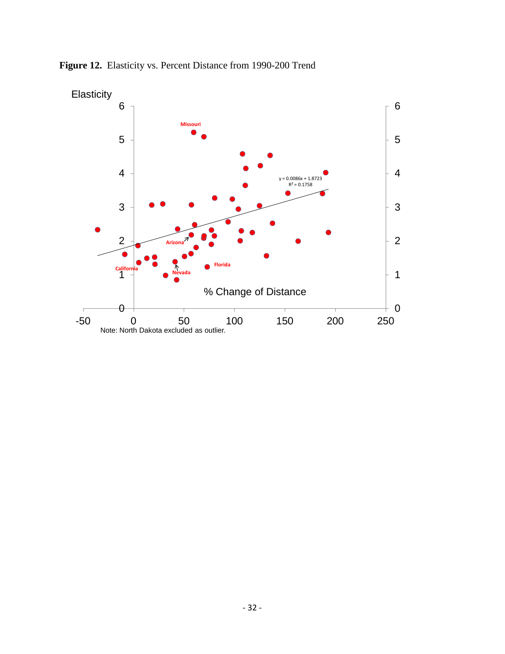

**Figure 12.** Elasticity vs. Percent Distance from 1990-200 Trend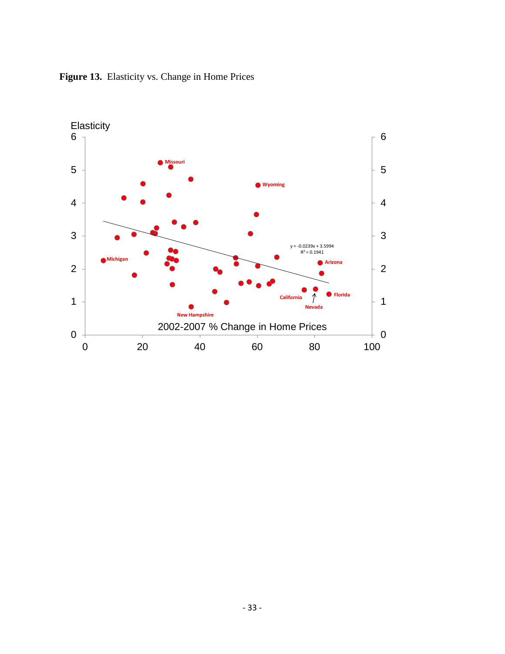

**Figure 13.** Elasticity vs. Change in Home Prices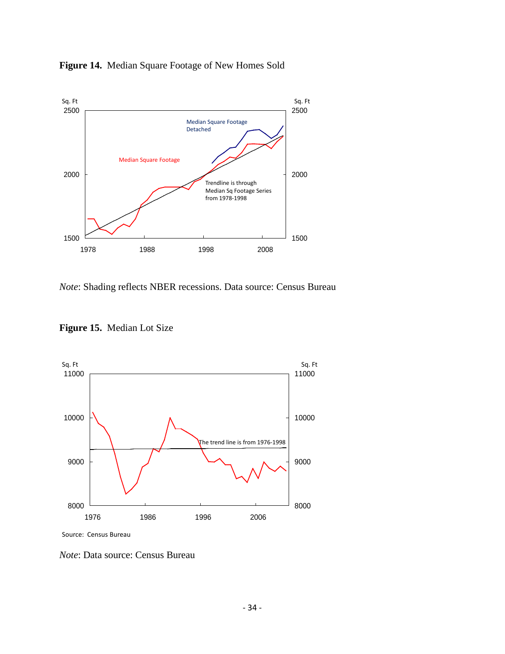

**Figure 14.** Median Square Footage of New Homes Sold

*Note*: Shading reflects NBER recessions. Data source: Census Bureau



**Figure 15.** Median Lot Size

Source: Census Bureau

*Note*: Data source: Census Bureau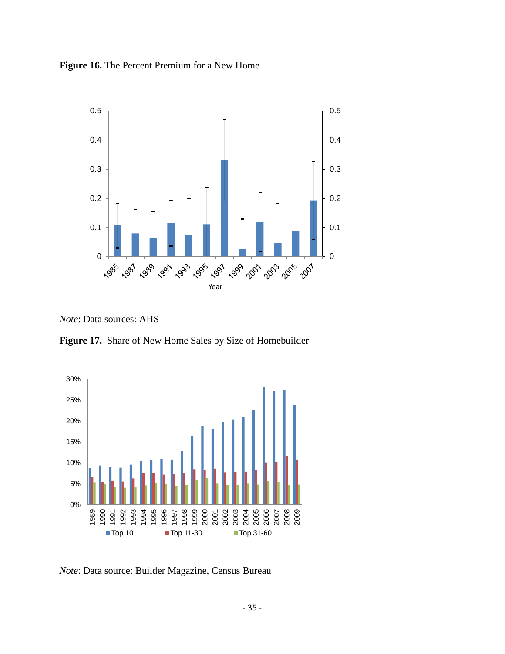**Figure 16.** The Percent Premium for a New Home



*Note*: Data sources: AHS

**Figure 17.** Share of New Home Sales by Size of Homebuilder



*Note*: Data source: Builder Magazine, Census Bureau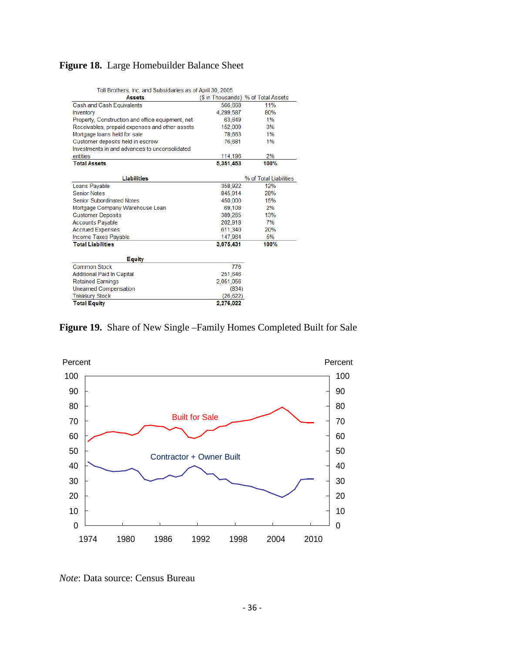# **Figure 18.** Large Homebuilder Balance Sheet

| Toll Brothers, Inc. and Subsidiaries as of April 30, 2005 |           |                                     |  |  |  |  |
|-----------------------------------------------------------|-----------|-------------------------------------|--|--|--|--|
| <b>Assets</b>                                             |           | (\$ in Thousands) % of Total Assets |  |  |  |  |
| Cash and Cash Equivalents                                 | 566,668   | 11%                                 |  |  |  |  |
| Inventory                                                 | 4,299,587 | 80%                                 |  |  |  |  |
| Property, Construction and office equipment, net          | 63,649    | 1%                                  |  |  |  |  |
| Receivables, prepaid expenses and other assets            | 152,009   | 3%                                  |  |  |  |  |
| Mortgage loans held for sale                              | 78,663    | 1%                                  |  |  |  |  |
| Customer deposits held in escrow                          | 76.681    | 1%                                  |  |  |  |  |
| Investments in and advances to unconsolidated             |           |                                     |  |  |  |  |
| entities                                                  | 114,196   | 2%                                  |  |  |  |  |
| <b>Total Assets</b>                                       | 5.351.453 | 100%                                |  |  |  |  |
|                                                           |           |                                     |  |  |  |  |
| <b>Liabilities</b>                                        |           | % of Total Liabilities              |  |  |  |  |
| Loans Payable                                             | 358,922   | 12%                                 |  |  |  |  |
| <b>Senior Notes</b>                                       | 845,914   | 28%                                 |  |  |  |  |
| <b>Senior Subordinated Notes</b>                          | 450,000   | 15%                                 |  |  |  |  |
| Mortgage Company Warehouse Loan                           | 69,108    | 2%                                  |  |  |  |  |
| <b>Customer Deposits</b>                                  | 389,265   | 13%                                 |  |  |  |  |
| <b>Accounts Payable</b>                                   | 202.918   | 7%                                  |  |  |  |  |
| <b>Accrued Expenses</b>                                   | 611,340   | 20%                                 |  |  |  |  |
| Income Taxes Payable                                      | 147.964   | 5%                                  |  |  |  |  |
| <b>Total Liabilities</b>                                  | 3.075.431 | 100%                                |  |  |  |  |
|                                                           |           |                                     |  |  |  |  |
| <b>Equity</b>                                             |           |                                     |  |  |  |  |
| Common Stock                                              | 776       |                                     |  |  |  |  |
| <b>Additional Paid In Capital</b>                         | 251,646   |                                     |  |  |  |  |
| <b>Retained Earnings</b>                                  | 2,051,056 |                                     |  |  |  |  |
| <b>Unearned Compensation</b>                              | (834)     |                                     |  |  |  |  |
| <b>Treasury Stock</b>                                     | (26.622)  |                                     |  |  |  |  |
| <b>Total Equity</b>                                       | 2,276,022 |                                     |  |  |  |  |

**Figure 19.** Share of New Single –Family Homes Completed Built for Sale



*Note*: Data source: Census Bureau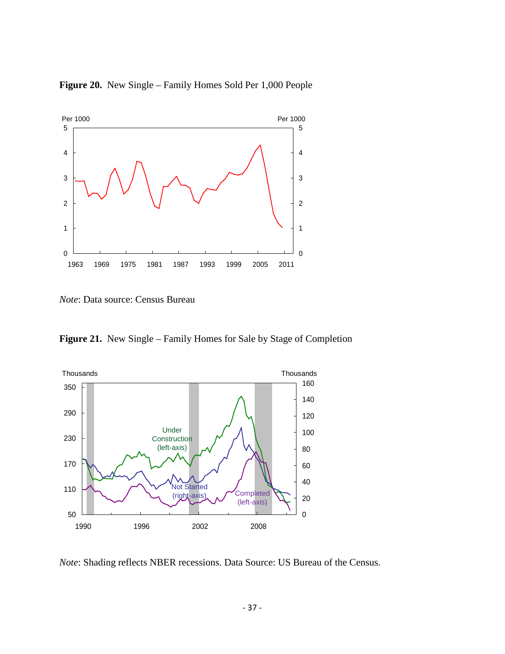

**Figure 20.** New Single – Family Homes Sold Per 1,000 People

*Note*: Data source: Census Bureau

**Figure 21.** New Single – Family Homes for Sale by Stage of Completion



*Note*: Shading reflects NBER recessions. Data Source: US Bureau of the Census.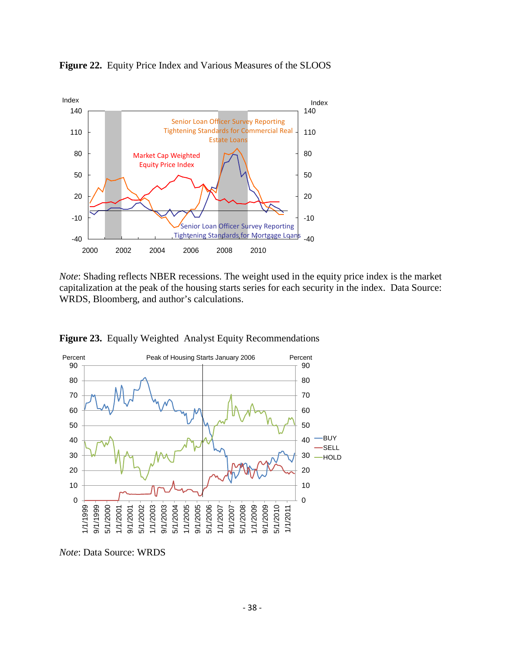

**Figure 22.** Equity Price Index and Various Measures of the SLOOS

*Note*: Shading reflects NBER recessions. The weight used in the equity price index is the market capitalization at the peak of the housing starts series for each security in the index. Data Source: WRDS, Bloomberg, and author's calculations.



**Figure 23.** Equally Weighted Analyst Equity Recommendations

*Note*: Data Source: WRDS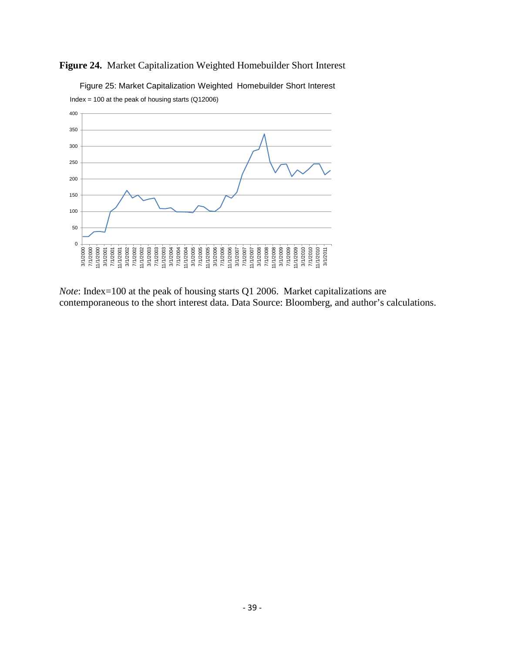# **Figure 24.** Market Capitalization Weighted Homebuilder Short Interest



Figure 25: Market Capitalization Weighted Homebuilder Short Interest Index = 100 at the peak of housing starts  $(Q12006)$ 

*Note*: Index=100 at the peak of housing starts Q1 2006. Market capitalizations are contemporaneous to the short interest data. Data Source: Bloomberg, and author's calculations.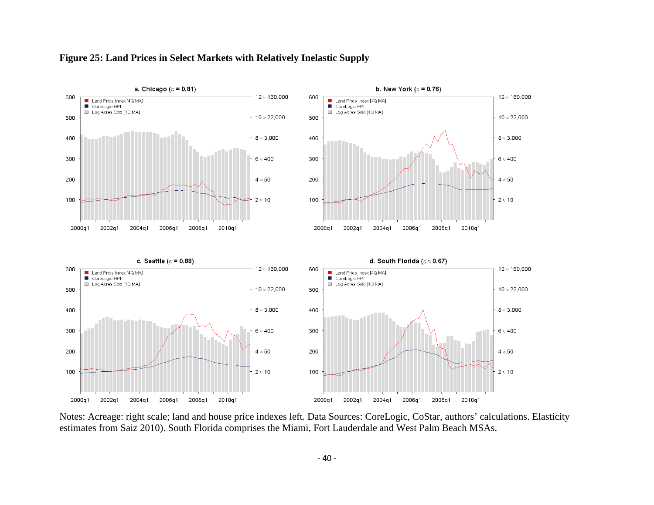

# **Figure 25: Land Prices in Select Markets with Relatively Inelastic Supply**

Notes: Acreage: right scale; land and house price indexes left. Data Sources: CoreLogic, CoStar, authors' calculations. Elasticity estimates from Saiz 2010). South Florida comprises the Miami, Fort Lauderdale and West Palm Beach MSAs.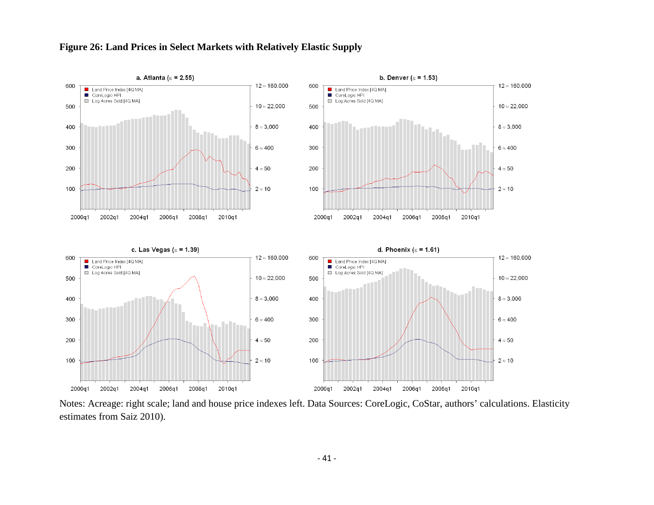



Notes: Acreage: right scale; land and house price indexes left. Data Sources: CoreLogic, CoStar, authors' calculations. Elasticity estimates from Saiz 2010).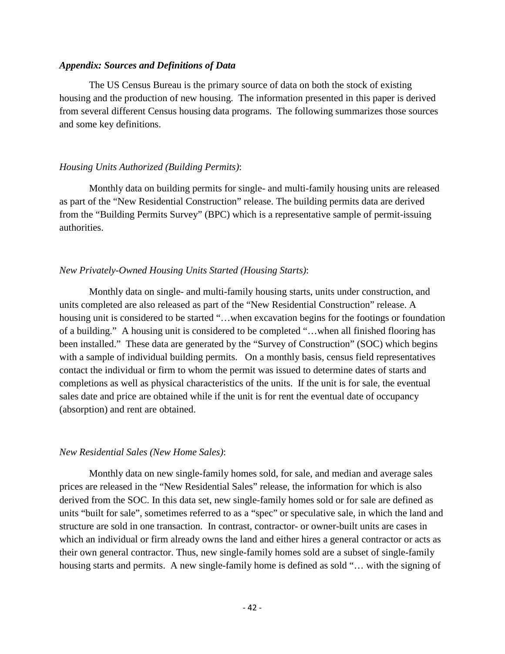# *Appendix: Sources and Definitions of Data*

The US Census Bureau is the primary source of data on both the stock of existing housing and the production of new housing. The information presented in this paper is derived from several different Census housing data programs. The following summarizes those sources and some key definitions.

# *Housing Units Authorized (Building Permits)*:

Monthly data on building permits for single- and multi-family housing units are released as part of the "New Residential Construction" release. The building permits data are derived from the "Building Permits Survey" (BPC) which is a representative sample of permit-issuing authorities.

# *New Privately-Owned Housing Units Started (Housing Starts)*:

Monthly data on single- and multi-family housing starts, units under construction, and units completed are also released as part of the "New Residential Construction" release. A housing unit is considered to be started "…when excavation begins for the footings or foundation of a building." A housing unit is considered to be completed "…when all finished flooring has been installed." These data are generated by the "Survey of Construction" (SOC) which begins with a sample of individual building permits. On a monthly basis, census field representatives contact the individual or firm to whom the permit was issued to determine dates of starts and completions as well as physical characteristics of the units. If the unit is for sale, the eventual sales date and price are obtained while if the unit is for rent the eventual date of occupancy (absorption) and rent are obtained.

#### *New Residential Sales (New Home Sales)*:

Monthly data on new single-family homes sold, for sale, and median and average sales prices are released in the "New Residential Sales" release, the information for which is also derived from the SOC. In this data set, new single-family homes sold or for sale are defined as units "built for sale", sometimes referred to as a "spec" or speculative sale, in which the land and structure are sold in one transaction. In contrast, contractor- or owner-built units are cases in which an individual or firm already owns the land and either hires a general contractor or acts as their own general contractor. Thus, new single-family homes sold are a subset of single-family housing starts and permits. A new single-family home is defined as sold "... with the signing of